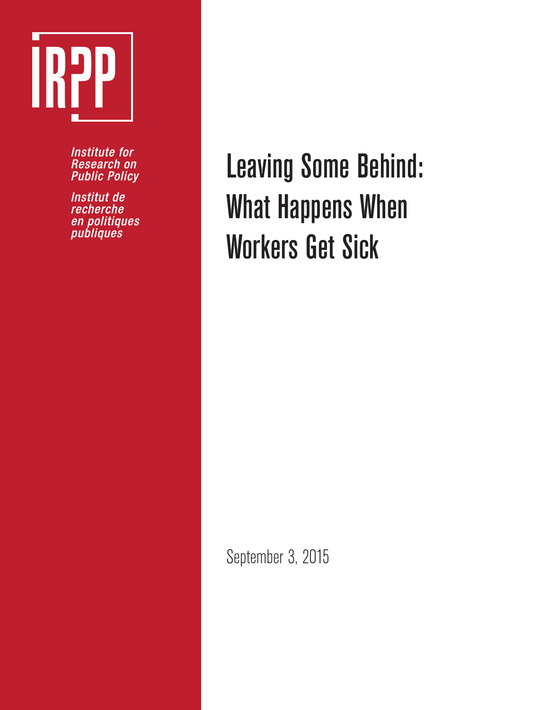

**Institute for Research on Public Policy** 

Institut de recherche en politiques<br>publiques

Leaving Some Behind: What Happens When Workers Get Sick

September 3, 2015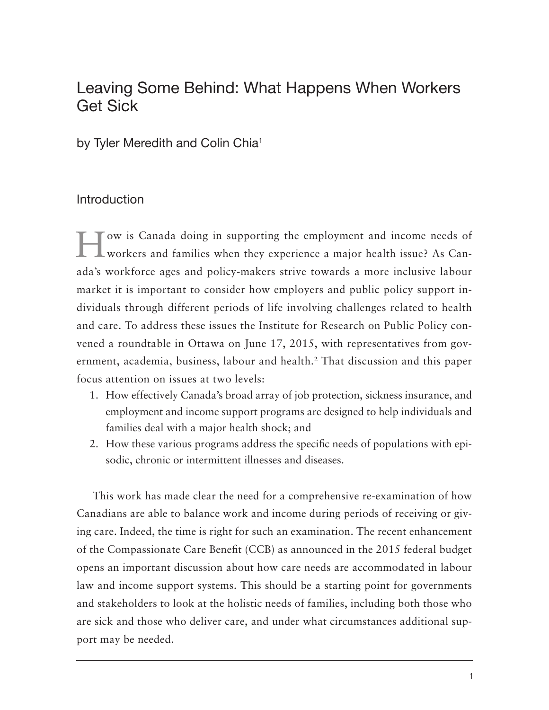# Leaving Some Behind: What Happens When Workers Get Sick

by Tyler Meredith and Colin Chia<sup>1</sup>

# Introduction

How is Canada doing in supporting the employment and income needs of workers and families when they experience a major health issue? As Canada's workforce ages and policy-makers strive towards a more inclusive labour market it is important to consider how employers and public policy support individuals through different periods of life involving challenges related to health and care. To address these issues the Institute for Research on Public Policy convened a roundtable in Ottawa on June 17, 2015, with representatives from government, academia, business, labour and health.<sup>2</sup> That discussion and this paper focus attention on issues at two levels:

- 1. How effectively Canada's broad array of job protection, sickness insurance, and employment and income support programs are designed to help individuals and families deal with a major health shock; and
- 2. How these various programs address the specific needs of populations with episodic, chronic or intermittent illnesses and diseases.

This work has made clear the need for a comprehensive re-examination of how Canadians are able to balance work and income during periods of receiving or giving care. Indeed, the time is right for such an examination. The recent enhancement of the Compassionate Care Benefit (CCB) as announced in the 2015 federal budget opens an important discussion about how care needs are accommodated in labour law and income support systems. This should be a starting point for governments and stakeholders to look at the holistic needs of families, including both those who are sick and those who deliver care, and under what circumstances additional support may be needed.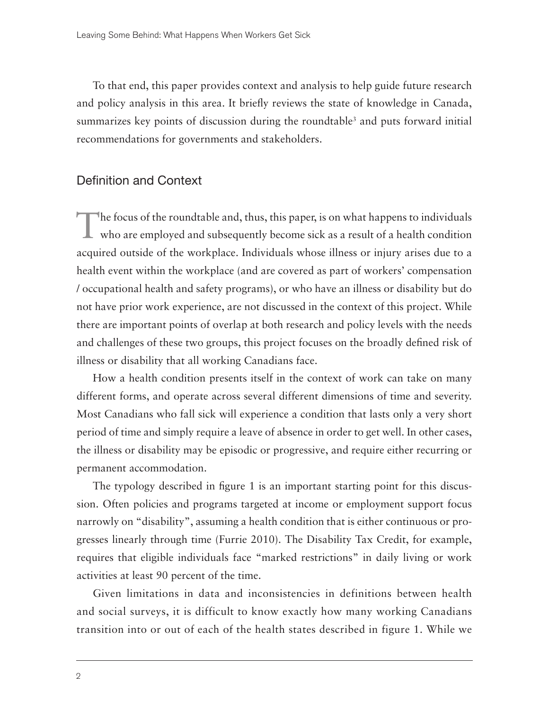To that end, this paper provides context and analysis to help guide future research and policy analysis in this area. It briefly reviews the state of knowledge in Canada, summarizes key points of discussion during the roundtable<sup>3</sup> and puts forward initial recommendations for governments and stakeholders.

## Definition and Context

The focus of the roundtable and, thus, this paper, is on what happens to individuals<br>who are employed and subsequently become sick as a result of a health condition acquired outside of the workplace. Individuals whose illness or injury arises due to a health event within the workplace (and are covered as part of workers' compensation / occupational health and safety programs), or who have an illness or disability but do not have prior work experience, are not discussed in the context of this project. While there are important points of overlap at both research and policy levels with the needs and challenges of these two groups, this project focuses on the broadly defined risk of illness or disability that all working Canadians face.

How a health condition presents itself in the context of work can take on many different forms, and operate across several different dimensions of time and severity. Most Canadians who fall sick will experience a condition that lasts only a very short period of time and simply require a leave of absence in order to get well. In other cases, the illness or disability may be episodic or progressive, and require either recurring or permanent accommodation.

The typology described in figure 1 is an important starting point for this discussion. Often policies and programs targeted at income or employment support focus narrowly on "disability", assuming a health condition that is either continuous or progresses linearly through time (Furrie 2010). The Disability Tax Credit, for example, requires that eligible individuals face "marked restrictions" in daily living or work activities at least 90 percent of the time.

Given limitations in data and inconsistencies in definitions between health and social surveys, it is difficult to know exactly how many working Canadians transition into or out of each of the health states described in figure 1. While we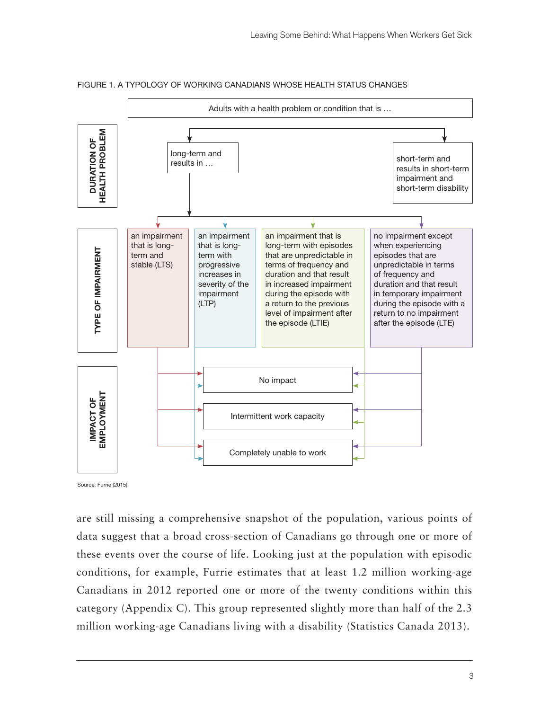

FIGURE 1. A TYPOLOGY OF WORKING CANADIANS WHOSE HEALTH STATUS CHANGES

Source: Furrie (2015)

are still missing a comprehensive snapshot of the population, various points of data suggest that a broad cross-section of Canadians go through one or more of these events over the course of life. Looking just at the population with episodic conditions, for example, Furrie estimates that at least 1.2 million working-age Canadians in 2012 reported one or more of the twenty conditions within this category (Appendix C). This group represented slightly more than half of the 2.3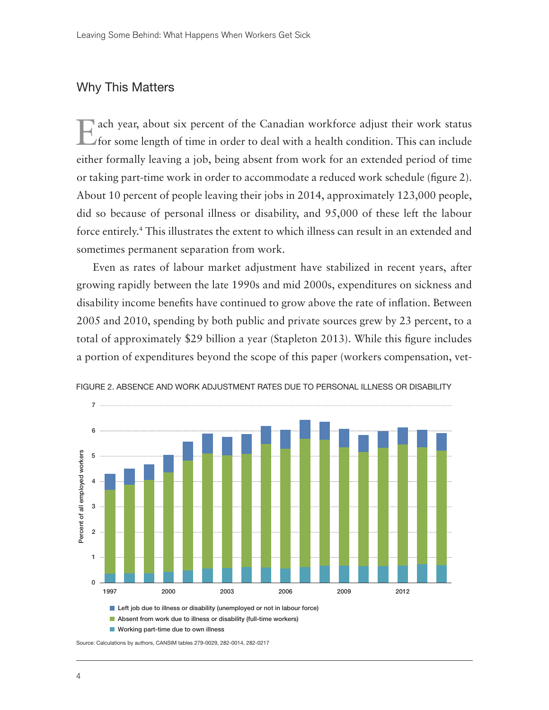# Why This Matters

Each year, about six percent of the Canadian workforce adjust their work status for some length of time in order to deal with a health condition. This can include either formally leaving a job, being absent from work for an extended period of time or taking part-time work in order to accommodate a reduced work schedule (figure 2). About 10 percent of people leaving their jobs in 2014, approximately 123,000 people, did so because of personal illness or disability, and 95,000 of these left the labour force entirely.4 This illustrates the extent to which illness can result in an extended and sometimes permanent separation from work.

Even as rates of labour market adjustment have stabilized in recent years, after growing rapidly between the late 1990s and mid 2000s, expenditures on sickness and disability income benefits have continued to grow above the rate of inflation. Between 2005 and 2010, spending by both public and private sources grew by 23 percent, to a total of approximately \$29 billion a year (Stapleton 2013). While this figure includes a portion of expenditures beyond the scope of this paper (workers compensation, vet-



FIGURE 2. ABSENCE AND WORK ADJUSTMENT RATES DUE TO PERSONAL ILLNESS OR DISABILITY

Source: Calculations by authors, CANSIM tables 279-0029, 282-0014, 282-0217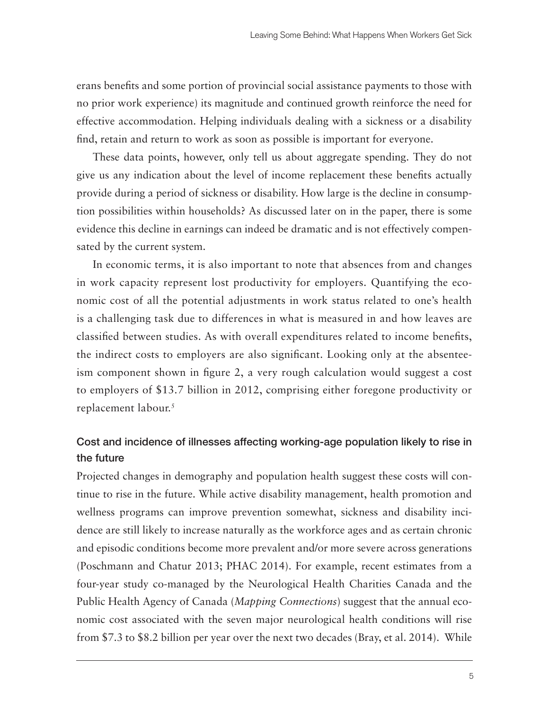erans benefits and some portion of provincial social assistance payments to those with no prior work experience) its magnitude and continued growth reinforce the need for effective accommodation. Helping individuals dealing with a sickness or a disability find, retain and return to work as soon as possible is important for everyone.

These data points, however, only tell us about aggregate spending. They do not give us any indication about the level of income replacement these benefits actually provide during a period of sickness or disability. How large is the decline in consumption possibilities within households? As discussed later on in the paper, there is some evidence this decline in earnings can indeed be dramatic and is not effectively compensated by the current system.

In economic terms, it is also important to note that absences from and changes in work capacity represent lost productivity for employers. Quantifying the economic cost of all the potential adjustments in work status related to one's health is a challenging task due to differences in what is measured in and how leaves are classified between studies. As with overall expenditures related to income benefits, the indirect costs to employers are also significant. Looking only at the absenteeism component shown in figure 2, a very rough calculation would suggest a cost to employers of \$13.7 billion in 2012, comprising either foregone productivity or replacement labour.<sup>5</sup>

# Cost and incidence of illnesses affecting working-age population likely to rise in the future

Projected changes in demography and population health suggest these costs will continue to rise in the future. While active disability management, health promotion and wellness programs can improve prevention somewhat, sickness and disability incidence are still likely to increase naturally as the workforce ages and as certain chronic and episodic conditions become more prevalent and/or more severe across generations (Poschmann and Chatur 2013; PHAC 2014). For example, recent estimates from a four-year study co-managed by the Neurological Health Charities Canada and the Public Health Agency of Canada (*Mapping Connections*) suggest that the annual economic cost associated with the seven major neurological health conditions will rise from \$7.3 to \$8.2 billion per year over the next two decades (Bray, et al. 2014). While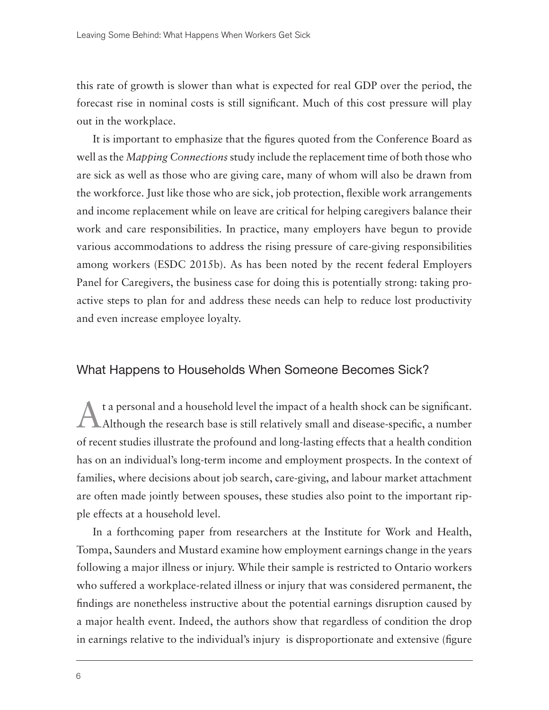this rate of growth is slower than what is expected for real GDP over the period, the forecast rise in nominal costs is still significant. Much of this cost pressure will play out in the workplace.

It is important to emphasize that the figures quoted from the Conference Board as well as the *Mapping Connections* study include the replacement time of both those who are sick as well as those who are giving care, many of whom will also be drawn from the workforce. Just like those who are sick, job protection, flexible work arrangements and income replacement while on leave are critical for helping caregivers balance their work and care responsibilities. In practice, many employers have begun to provide various accommodations to address the rising pressure of care-giving responsibilities among workers (ESDC 2015b). As has been noted by the recent federal Employers Panel for Caregivers, the business case for doing this is potentially strong: taking proactive steps to plan for and address these needs can help to reduce lost productivity and even increase employee loyalty.

## What Happens to Households When Someone Becomes Sick?

At a personal and a household level the impact of a health shock can be significant. Although the research base is still relatively small and disease-specific, a number of recent studies illustrate the profound and long-lasting effects that a health condition has on an individual's long-term income and employment prospects. In the context of families, where decisions about job search, care-giving, and labour market attachment are often made jointly between spouses, these studies also point to the important ripple effects at a household level.

In a forthcoming paper from researchers at the Institute for Work and Health, Tompa, Saunders and Mustard examine how employment earnings change in the years following a major illness or injury. While their sample is restricted to Ontario workers who suffered a workplace-related illness or injury that was considered permanent, the findings are nonetheless instructive about the potential earnings disruption caused by a major health event. Indeed, the authors show that regardless of condition the drop in earnings relative to the individual's injury is disproportionate and extensive (figure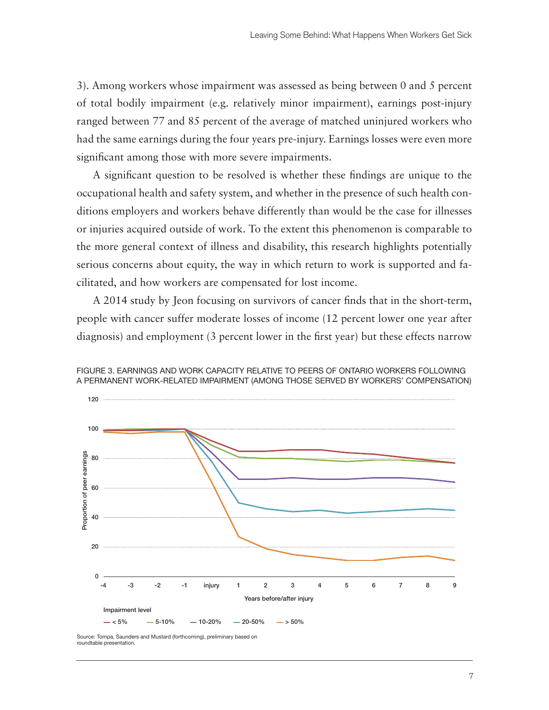3). Among workers whose impairment was assessed as being between 0 and 5 percent of total bodily impairment (e.g. relatively minor impairment), earnings post-injury ranged between 77 and 85 percent of the average of matched uninjured workers who had the same earnings during the four years pre-injury. Earnings losses were even more significant among those with more severe impairments.

A significant question to be resolved is whether these findings are unique to the occupational health and safety system, and whether in the presence of such health conditions employers and workers behave differently than would be the case for illnesses or injuries acquired outside of work. To the extent this phenomenon is comparable to the more general context of illness and disability, this research highlights potentially serious concerns about equity, the way in which return to work is supported and facilitated, and how workers are compensated for lost income.

A 2014 study by Jeon focusing on survivors of cancer finds that in the short-term, people with cancer suffer moderate losses of income (12 percent lower one year after diagnosis) and employment (3 percent lower in the first year) but these effects narrow



FIGURE 3. EARNINGS AND WORK CAPACITY RELATIVE TO PEERS OF ONTARIO WORKERS FOLLOWING A PERMANENT WORK-RELATED IMPAIRMENT (AMONG THOSE SERVED BY WORKERS' COMPENSATION)

Source: Tompa, Saunders and Mustard (forthcoming), preliminary based on roundtable presentation.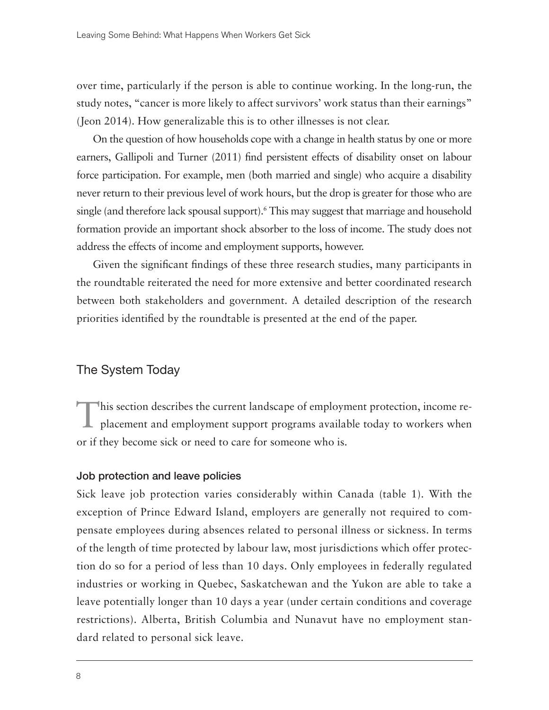over time, particularly if the person is able to continue working. In the long-run, the study notes, "cancer is more likely to affect survivors' work status than their earnings" (Jeon 2014). How generalizable this is to other illnesses is not clear.

On the question of how households cope with a change in health status by one or more earners, Gallipoli and Turner (2011) find persistent effects of disability onset on labour force participation. For example, men (both married and single) who acquire a disability never return to their previous level of work hours, but the drop is greater for those who are single (and therefore lack spousal support).<sup>6</sup> This may suggest that marriage and household formation provide an important shock absorber to the loss of income. The study does not address the effects of income and employment supports, however.

Given the significant findings of these three research studies, many participants in the roundtable reiterated the need for more extensive and better coordinated research between both stakeholders and government. A detailed description of the research priorities identified by the roundtable is presented at the end of the paper.

## The System Today

This section describes the current landscape of employment protection, income re-<br>placement and employment support programs available today to workers when or if they become sick or need to care for someone who is.

## Job protection and leave policies

Sick leave job protection varies considerably within Canada (table 1). With the exception of Prince Edward Island, employers are generally not required to compensate employees during absences related to personal illness or sickness. In terms of the length of time protected by labour law, most jurisdictions which offer protection do so for a period of less than 10 days. Only employees in federally regulated industries or working in Quebec, Saskatchewan and the Yukon are able to take a leave potentially longer than 10 days a year (under certain conditions and coverage restrictions). Alberta, British Columbia and Nunavut have no employment standard related to personal sick leave.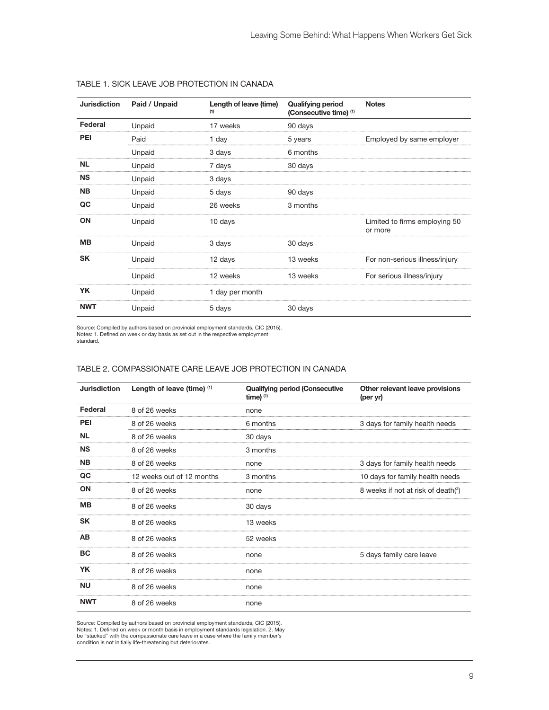| <b>Jurisdiction</b> | Paid / Unpaid | Length of leave (time)<br>(1) | <b>Qualifying period</b><br>(Consecutive time) (1) | <b>Notes</b>                             |
|---------------------|---------------|-------------------------------|----------------------------------------------------|------------------------------------------|
| Federal             | Unpaid        | 17 weeks                      | 90 days                                            |                                          |
| PEI                 | Paid          | 1 day                         | 5 years                                            | Employed by same employer                |
|                     | Unpaid        | 3 days                        | 6 months                                           |                                          |
| <b>NL</b>           | Unpaid        | 7 days                        | 30 days                                            |                                          |
| <b>NS</b>           | Unpaid        | 3 days                        |                                                    |                                          |
| <b>NB</b>           | Unpaid        | 5 days                        | 90 days                                            |                                          |
| QC                  | Unpaid        | 26 weeks                      | 3 months                                           |                                          |
| ON                  | Unpaid        | 10 days                       |                                                    | Limited to firms employing 50<br>or more |
| MВ                  | Unpaid        | 3 days                        | 30 days                                            |                                          |
| <b>SK</b>           | Unpaid        | 12 days                       | 13 weeks                                           | For non-serious illness/injury           |
|                     | Unpaid        | 12 weeks                      | 13 weeks                                           | For serious illness/injury               |
| YK.                 | Unpaid        | 1 day per month               |                                                    |                                          |
| <b>NWT</b>          | Unpaid        | 5 days                        | 30 days                                            |                                          |

#### TABLE 1. SICK LEAVE JOB PROTECTION IN CANADA

Source: Compiled by authors based on provincial employment standards, CIC (2015). Notes: 1. Defined on week or day basis as set out in the respective employment standard.

#### TABLE 2. COMPASSIONATE CARE LEAVE JOB PROTECTION IN CANADA

| <b>Jurisdiction</b> | Length of leave (time) (1) | <b>Qualifying period (Consecutive</b><br>time) $(1)$ | Other relevant leave provisions<br>(per yr) |
|---------------------|----------------------------|------------------------------------------------------|---------------------------------------------|
| Federal             | 8 of 26 weeks              | none                                                 |                                             |
| PEI                 | 8 of 26 weeks              | 6 months                                             | 3 days for family health needs              |
| <b>NL</b>           | 8 of 26 weeks              | 30 days                                              |                                             |
| <b>NS</b>           | 8 of 26 weeks              | 3 months                                             |                                             |
| <b>NB</b>           | 8 of 26 weeks              | none                                                 | 3 days for family health needs              |
| QC                  | 12 weeks out of 12 months  | 3 months                                             | 10 days for family health needs             |
| ON                  | 8 of 26 weeks              | none                                                 | 8 weeks if not at risk of death(2)          |
| <b>MB</b>           | 8 of 26 weeks              | 30 days                                              |                                             |
| <b>SK</b>           | 8 of 26 weeks              | 13 weeks                                             |                                             |
| <b>AB</b>           | 8 of 26 weeks              | 52 weeks                                             |                                             |
| <b>BC</b>           | 8 of 26 weeks              | none                                                 | 5 days family care leave                    |
| <b>YK</b>           | 8 of 26 weeks              | none                                                 |                                             |
| <b>NU</b>           | 8 of 26 weeks              | none                                                 |                                             |
| <b>NWT</b>          | 8 of 26 weeks              | none                                                 |                                             |

Source: Compiled by authors based on provincial employment standards, CIC (2015). Notes: 1. Defined on week or month basis in employment standards legislation. 2. May be "stacked" with the compassionate care leave in a case where the family member's condition is not initially life-threatening but deteriorates.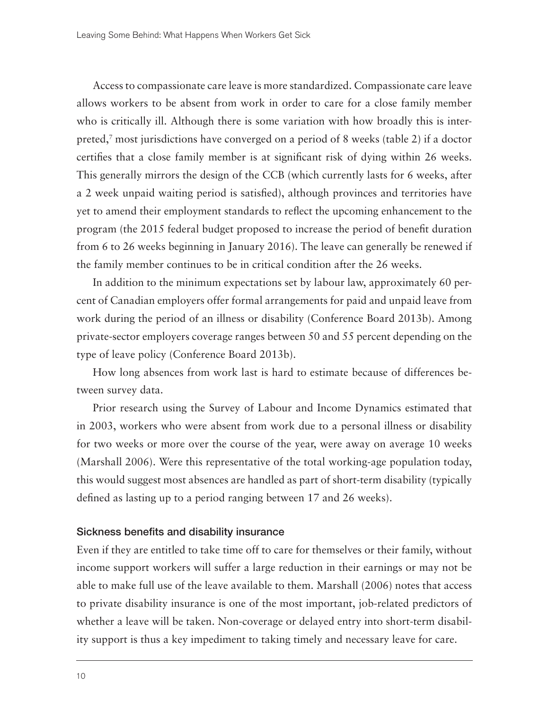Access to compassionate care leave is more standardized. Compassionate care leave allows workers to be absent from work in order to care for a close family member who is critically ill. Although there is some variation with how broadly this is interpreted,7 most jurisdictions have converged on a period of 8 weeks (table 2) if a doctor certifies that a close family member is at significant risk of dying within 26 weeks. This generally mirrors the design of the CCB (which currently lasts for 6 weeks, after a 2 week unpaid waiting period is satisfied), although provinces and territories have yet to amend their employment standards to reflect the upcoming enhancement to the program (the 2015 federal budget proposed to increase the period of benefit duration from 6 to 26 weeks beginning in January 2016). The leave can generally be renewed if the family member continues to be in critical condition after the 26 weeks.

In addition to the minimum expectations set by labour law, approximately 60 percent of Canadian employers offer formal arrangements for paid and unpaid leave from work during the period of an illness or disability (Conference Board 2013b). Among private-sector employers coverage ranges between 50 and 55 percent depending on the type of leave policy (Conference Board 2013b).

How long absences from work last is hard to estimate because of differences between survey data.

Prior research using the Survey of Labour and Income Dynamics estimated that in 2003, workers who were absent from work due to a personal illness or disability for two weeks or more over the course of the year, were away on average 10 weeks (Marshall 2006). Were this representative of the total working-age population today, this would suggest most absences are handled as part of short-term disability (typically defined as lasting up to a period ranging between 17 and 26 weeks).

#### Sickness benefits and disability insurance

Even if they are entitled to take time off to care for themselves or their family, without income support workers will suffer a large reduction in their earnings or may not be able to make full use of the leave available to them. Marshall (2006) notes that access to private disability insurance is one of the most important, job-related predictors of whether a leave will be taken. Non-coverage or delayed entry into short-term disability support is thus a key impediment to taking timely and necessary leave for care.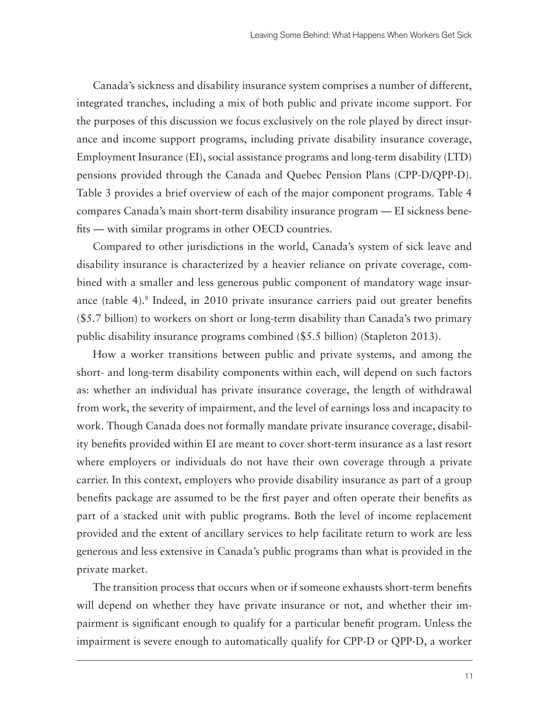Canada's sickness and disability insurance system comprises a number of different, integrated tranches, including a mix of both public and private income support. For the purposes of this discussion we focus exclusively on the role played by direct insurance and income support programs, including private disability insurance coverage, Employment Insurance (EI), social assistance programs and long-term disability (LTD) pensions provided through the Canada and Quebec Pension Plans (CPP-D/QPP-D). Table 3 provides a brief overview of each of the major component programs. Table 4 compares Canada's main short-term disability insurance program — EI sickness benefits — with similar programs in other OECD countries.

Compared to other jurisdictions in the world, Canada's system of sick leave and disability insurance is characterized by a heavier reliance on private coverage, combined with a smaller and less generous public component of mandatory wage insurance (table 4).8 Indeed, in 2010 private insurance carriers paid out greater benefits (\$5.7 billion) to workers on short or long-term disability than Canada's two primary public disability insurance programs combined (\$5.5 billion) (Stapleton 2013).

How a worker transitions between public and private systems, and among the short- and long-term disability components within each, will depend on such factors as: whether an individual has private insurance coverage, the length of withdrawal from work, the severity of impairment, and the level of earnings loss and incapacity to work. Though Canada does not formally mandate private insurance coverage, disability benefits provided within EI are meant to cover short-term insurance as a last resort where employers or individuals do not have their own coverage through a private carrier. In this context, employers who provide disability insurance as part of a group benefits package are assumed to be the first payer and often operate their benefits as part of a stacked unit with public programs. Both the level of income replacement provided and the extent of ancillary services to help facilitate return to work are less generous and less extensive in Canada's public programs than what is provided in the private market.

The transition process that occurs when or if someone exhausts short-term benefits will depend on whether they have private insurance or not, and whether their impairment is significant enough to qualify for a particular benefit program. Unless the impairment is severe enough to automatically qualify for CPP-D or QPP-D, a worker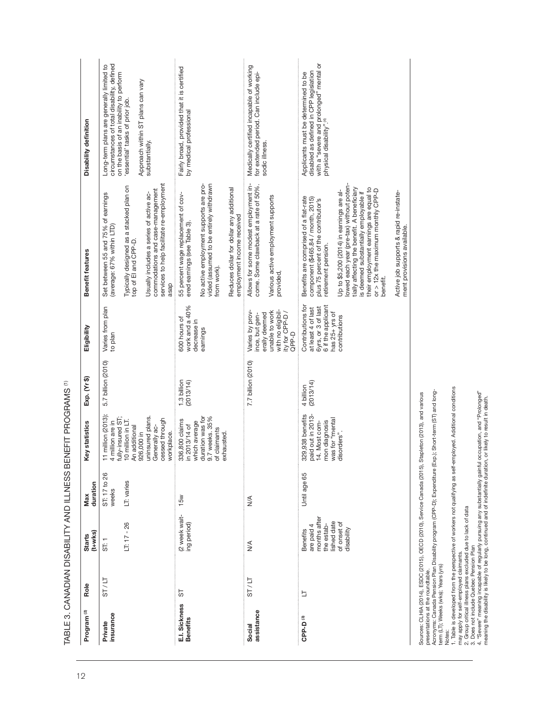| Program <sup>(2)</sup>           | Role    | $(t+w$ ks $)$<br><b>Starts</b>                                                                   | duration<br>Max                     | <b>Key statistics</b>                                                                                                                                                                                                                                | Exp. (Yr \$)             | Eligibility                                                                                                               | Benefit features                                                                                                                                                                                                                                                                                                                                                                                                                                                                                | Disability definition                                                                                                                                                                                                       |
|----------------------------------|---------|--------------------------------------------------------------------------------------------------|-------------------------------------|------------------------------------------------------------------------------------------------------------------------------------------------------------------------------------------------------------------------------------------------------|--------------------------|---------------------------------------------------------------------------------------------------------------------------|-------------------------------------------------------------------------------------------------------------------------------------------------------------------------------------------------------------------------------------------------------------------------------------------------------------------------------------------------------------------------------------------------------------------------------------------------------------------------------------------------|-----------------------------------------------------------------------------------------------------------------------------------------------------------------------------------------------------------------------------|
| insurance<br>Private             | ST / IT | $LT: 17 - 26$<br>ST: 1                                                                           | ST: 17 to 26<br>LT: varies<br>weeks | 1 million (2013)<br>uninsured plans.<br>ully-insured ST;<br>cessed through<br>10 million in LT.<br>I million are in<br>Generally ac-<br>An additional<br>926,000 in<br>vorkplace.                                                                    | 5.7 billion (2010)       | Varies from plan<br>to plan                                                                                               | services to help facilitate re-employment<br>Typically designed as a stacked plan on<br>top of El and CPP-D.<br>commodations and case-management<br>Set between 55 and 75% of earnings<br>Usually includes a series of active ac-<br>(average: 67% within LTD)<br>asap                                                                                                                                                                                                                          | circumstances of total disability, defined<br>Long-term plans are generally limited to<br>on the basis of an inability to perform<br>Approach within ST plans can vary<br>'essential' tasks of prior job.<br>substantially. |
| E.I. Sickness<br><b>Benefits</b> | 55      | (2 week wait-<br>ing period)                                                                     | 15w                                 | duration was for<br>9.7 weeks. 35%<br>336,800 claims<br>which average<br>n 2013/14 of<br>of claimants<br>exhausted.                                                                                                                                  | 1.3 billion<br>(2013/14) | work and a 40%<br>600 hours of<br>decrease in<br>earnings                                                                 | No active employment supports are pro-<br>vided (assumed to be entirely withdrawn<br>Reduces dollar for dollar any additional<br>55 percent wage replacement of cov-<br>employment income received<br>ered earnings (see Table 3).<br>from work).                                                                                                                                                                                                                                               | Fairly broad, provided that it is certified<br>by medical professional                                                                                                                                                      |
| assistance<br>Social             | ST / LT | $\frac{4}{\sqrt{2}}$                                                                             | $\frac{4}{\sqrt{2}}$                |                                                                                                                                                                                                                                                      | 7.7 billion (2010)       | Varies by prov-<br>unable to work<br>with no eligibil-<br>ity for CPP-D/<br>erally deemed<br>ince, but gen-<br>QPP-D      | Allows for some modest employment in-<br>come. Some clawback at a rate of 50%.<br>Various active employment supports<br>provided,                                                                                                                                                                                                                                                                                                                                                               | Medically certified incapable of working<br>for extended period. Can include epi-<br>sodic illness.                                                                                                                         |
| CPP-D <sup>(3)</sup>             | Ë       | months after<br>lished date<br>of onset of<br>the estab-<br>are paid 4<br>disability<br>Benefits | Until age 65                        | paid out in 2013-<br>329,938 benefits<br>was for "mental<br>4. Most com-<br>mon diagnosis<br>disorders"                                                                                                                                              | (2013/14)<br>4 billion   | 6 if the applicant<br>Contributions for<br>6yrs, or 3 of last<br>at least 4 of last<br>has $25 + yrs$ of<br>contributions | lowed each year (pre-tax) without poten-<br>tially affecting the benefit. A beneficiary<br>their employment earnings are equal to<br>or > 12x the maximum monthly CPP-D<br>Up to \$5,200 (2014) in earnings are al-<br>Active job supports & rapid re-instate-<br>is deemed substantially employable if<br>Benefits are comprised of a flat-rate<br>component (\$465.84 / month, 2015)<br>plus 75 percent of the contributor's<br>ment provisions available.<br>retirement pension.<br>benefit. | with a "severe and prolonged" mental or<br>physical disability".(4)<br>disabled as defined in CPP legislation<br>Applicants must be determined to be                                                                        |
|                                  |         |                                                                                                  |                                     | presentations at the roundtable.<br>Acronvms: Canada Pension Plan Disability program (CPP-D): Expenditure (Exp.): Short-term (ST) and long-<br>Sources: CLHIA (2014), ESDC (2015), OECD (2010), Service Canada (2015), Stapleton (2013), and various |                          |                                                                                                                           |                                                                                                                                                                                                                                                                                                                                                                                                                                                                                                 |                                                                                                                                                                                                                             |

TABLE 3. CANADIAN DISABILITY AND ILLNESS BENEFIT PROGRAMS<sup>(1)</sup> TABLE 3. CANADIAN DISABILITY AND ILLNESS BENEFIT PROGRAMS (1)

Acronyms: Canada Pension Plan Disability program (CPP-D); Expenditure (Exp.); Short-term (ST) and longterm (LT); Weeks (wks); Years (yrs)

1. Table is developed from the perspective of workers not qualifying as self-employed. Additional conditions

may apply for self-employed claimants.

2. Group critical illness plans excluded due to lack of data

3. Does not include Quebec Pension Plan

אייסטייני אינטייני ווייסטייני אין בעל האייטייני און באפרט אינטייני ביטויומי און באפרט אינטייני און באפרט אינטי<br>Notes: (Wise; Weeks (wise; Years (yrs)<br>1. Table is developed from the perspective of workers not qualifying a 4. "Severe" meaning incapable of regularly pursuing any substantially gainful occupation, and "Prolonged" meaning the disability is likely to be long, continued and of indefinite duration, or likely to result in death.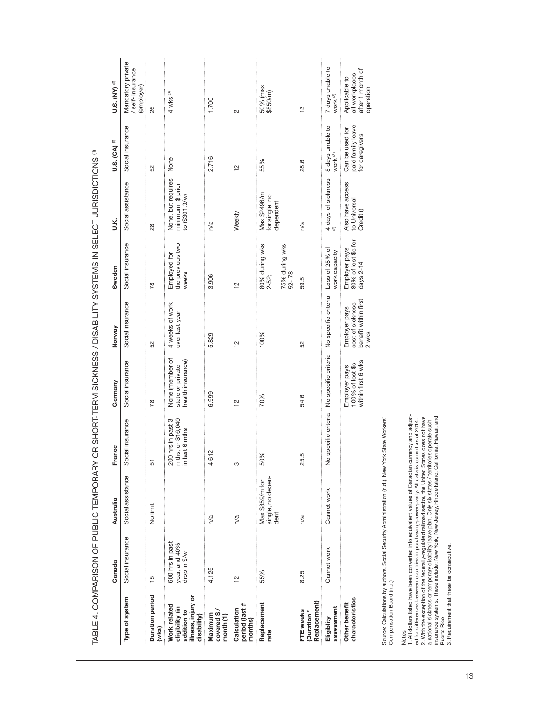|                                                                                     | Canada                                           | Australia                                    | France                                                   | Germany                                                  | Norway                                                             | Sweden                                              | У.                                                       | U.S. (CA) (2)                                          | <b>U.S. (NY)</b> <sup>(2)</sup>                                  |
|-------------------------------------------------------------------------------------|--------------------------------------------------|----------------------------------------------|----------------------------------------------------------|----------------------------------------------------------|--------------------------------------------------------------------|-----------------------------------------------------|----------------------------------------------------------|--------------------------------------------------------|------------------------------------------------------------------|
| Type of system                                                                      | Social insurance                                 | Social assistance                            | Social insurance                                         | Social insurance                                         | Social insurance                                                   | Social insurance                                    | Social assistance                                        | Social insurance                                       | Mandatory private<br>self-insurance<br>(employer)                |
| Duration period<br>(wks)                                                            | $\frac{5}{1}$                                    | No limit                                     | 5                                                        | $\frac{8}{2}$                                            | 52                                                                 | 78                                                  | 28                                                       | 52                                                     | 26                                                               |
| illness, injury or<br>Work related<br>eligibility (in<br>addition to<br>disability) | 600 hrs in past<br>year, and 40%<br>drop in \$/w |                                              | 200 hrs in past 3<br>mths, or \$16,040<br>in last 6 mths | None (member of<br>health insurance)<br>state or private | 4 weeks of work<br>over last year                                  | the previous two<br>Employed for<br>weeks           | None, but requires<br>minimum \$ prior<br>to (\$301.3/w) | None                                                   | $4$ wks $\circ$                                                  |
| covered \$<br>Maximum<br>month <sub>(1)</sub>                                       | 4,125                                            | n/a                                          | 4,612                                                    | 6,999                                                    | 5,829                                                              | 3,906                                               | n/a                                                      | 2,716                                                  | 1,700                                                            |
| period (last #<br>Calculation<br>months)                                            | $\frac{1}{2}$                                    | n/a                                          | S                                                        | 얻                                                        | $\tilde{c}$                                                        | $\frac{2}{1}$                                       | Weekly                                                   | $\frac{1}{2}$                                          | $\sim$                                                           |
| Replacement<br>rate                                                                 | 55%                                              | single, no depen-<br>dent<br>Max \$859/m for | 50%                                                      | 70%                                                      | 100%                                                               | 80% during wks<br>2-52;<br>75% during wks<br>52-78  | Max \$2496/m<br>for single, no<br>dependent              | 55%                                                    | 50% (max<br>\$850/m                                              |
| Replacement)<br>FTE weeks<br>Duration <sup>*</sup>                                  | 8.25                                             | n/a                                          | 25.5                                                     | 54.6                                                     | 52                                                                 | 59.5                                                | n/a                                                      | 28.6                                                   | $\frac{1}{2}$                                                    |
| assessment<br>Eligiblity                                                            | Cannot work                                      | Cannot work                                  | No specific criteria                                     | No specific criteria                                     | No specific criteria                                               | Loss of 25% of<br>work capacity                     | 4 days of sickness                                       | 8 days unable to<br>work <sup>(3)</sup>                | 7 days unable to<br>work ®                                       |
| characteristics<br>Other benefit                                                    |                                                  |                                              |                                                          | within first 6 wks<br>100% of lost \$s<br>Employer pays  | benefit within first<br>cost of sickness<br>Employer pays<br>2 wks | 80% of lost \$s for<br>Employer pays<br>days $2-14$ | Also have access<br>to Universal<br>Credit ()            | paid family leave<br>Can be used for<br>for caregivers | after 1 month of<br>all workplaces<br>Applicable to<br>operation |
|                                                                                     |                                                  |                                              |                                                          |                                                          |                                                                    |                                                     |                                                          |                                                        |                                                                  |

TABLE 4. COMPARISON OF PUBLIC TEMPORARY OR SHORT-TERM SICKNESS / DISABILITY SYSTEMS IN SELECT JURISDICTIONS (1 TABLE 4. COMPARISON OF PUBLIC TEMPORARY OR SHORT-TERM SICKNESS / DISABILITY SYSTEMS IN SELECT JURISDICTIONS (1)

Source: Calculations by authors, Social Security Administration (n.d.), New York State Workers'<br>Compensation Board (n.d.) Source: Calculations by authors, Social Security Administration (n.d.), New York State Workers' Compensation Board (n.d.)

Notes:<br>1. Alvies: last listed have been converted into equivalent values of Canadian currency and adjust-<br>1. Alvid means between countries in purchasing-power-parity. All data is current as of 2014.<br>2. With the exception o 1. All dollars listed have been converted into equivalent values of Canadian currency and adjusted for differences between countries in purchasing-power-parity. All data is current as of 2014. 2. With the exception of the federally-regulated railroad sector, the United States does not have a national sickness or temporary disability leave plan. Only six states / territories operate such insurance systems. These include: New York, New Jersey, Rhode Island, California, Hawaii, and Puerto Rico

3. Requirement that these be consecutive.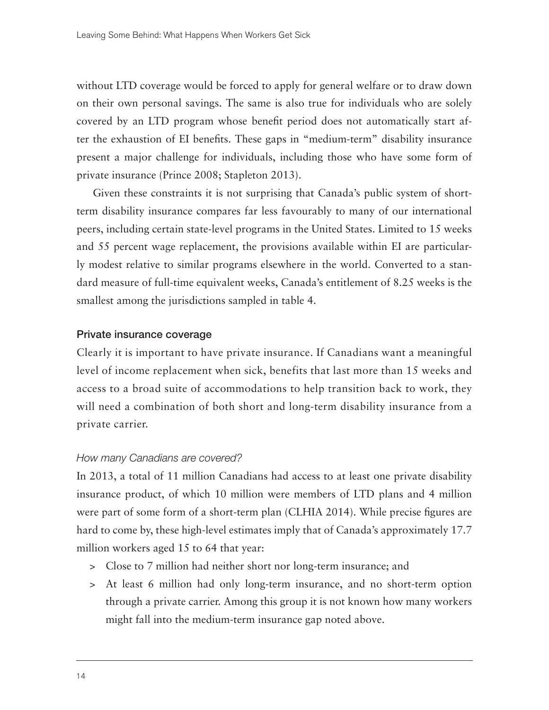without LTD coverage would be forced to apply for general welfare or to draw down on their own personal savings. The same is also true for individuals who are solely covered by an LTD program whose benefit period does not automatically start after the exhaustion of EI benefits. These gaps in "medium-term" disability insurance present a major challenge for individuals, including those who have some form of private insurance (Prince 2008; Stapleton 2013).

Given these constraints it is not surprising that Canada's public system of shortterm disability insurance compares far less favourably to many of our international peers, including certain state-level programs in the United States. Limited to 15 weeks and 55 percent wage replacement, the provisions available within EI are particularly modest relative to similar programs elsewhere in the world. Converted to a standard measure of full-time equivalent weeks, Canada's entitlement of 8.25 weeks is the smallest among the jurisdictions sampled in table 4.

#### Private insurance coverage

Clearly it is important to have private insurance. If Canadians want a meaningful level of income replacement when sick, benefits that last more than 15 weeks and access to a broad suite of accommodations to help transition back to work, they will need a combination of both short and long-term disability insurance from a private carrier.

#### *How many Canadians are covered?*

In 2013, a total of 11 million Canadians had access to at least one private disability insurance product, of which 10 million were members of LTD plans and 4 million were part of some form of a short-term plan (CLHIA 2014). While precise figures are hard to come by, these high-level estimates imply that of Canada's approximately 17.7 million workers aged 15 to 64 that year:

- > Close to 7 million had neither short nor long-term insurance; and
- > At least 6 million had only long-term insurance, and no short-term option through a private carrier. Among this group it is not known how many workers might fall into the medium-term insurance gap noted above.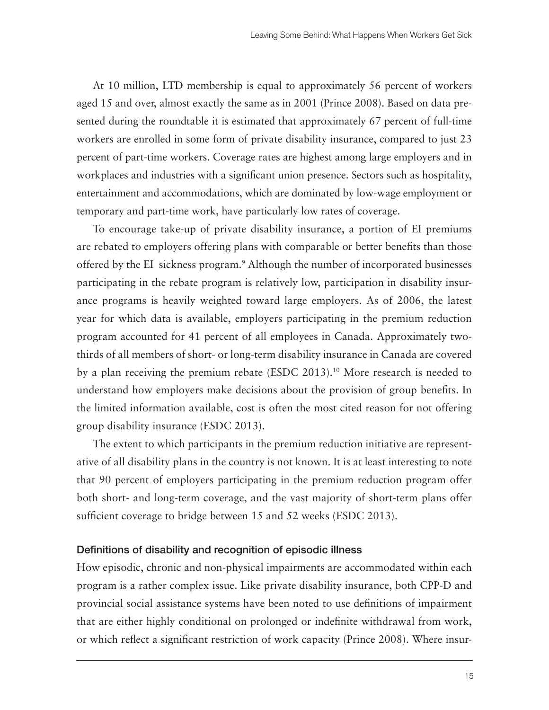At 10 million, LTD membership is equal to approximately 56 percent of workers aged 15 and over, almost exactly the same as in 2001 (Prince 2008). Based on data presented during the roundtable it is estimated that approximately 67 percent of full-time workers are enrolled in some form of private disability insurance, compared to just 23 percent of part-time workers. Coverage rates are highest among large employers and in workplaces and industries with a significant union presence. Sectors such as hospitality, entertainment and accommodations, which are dominated by low-wage employment or temporary and part-time work, have particularly low rates of coverage.

To encourage take-up of private disability insurance, a portion of EI premiums are rebated to employers offering plans with comparable or better benefits than those offered by the EI sickness program.9 Although the number of incorporated businesses participating in the rebate program is relatively low, participation in disability insurance programs is heavily weighted toward large employers. As of 2006, the latest year for which data is available, employers participating in the premium reduction program accounted for 41 percent of all employees in Canada. Approximately twothirds of all members of short- or long-term disability insurance in Canada are covered by a plan receiving the premium rebate (ESDC 2013).10 More research is needed to understand how employers make decisions about the provision of group benefits. In the limited information available, cost is often the most cited reason for not offering group disability insurance (ESDC 2013).

The extent to which participants in the premium reduction initiative are representative of all disability plans in the country is not known. It is at least interesting to note that 90 percent of employers participating in the premium reduction program offer both short- and long-term coverage, and the vast majority of short-term plans offer sufficient coverage to bridge between 15 and 52 weeks (ESDC 2013).

## Definitions of disability and recognition of episodic illness

How episodic, chronic and non-physical impairments are accommodated within each program is a rather complex issue. Like private disability insurance, both CPP-D and provincial social assistance systems have been noted to use definitions of impairment that are either highly conditional on prolonged or indefinite withdrawal from work, or which reflect a significant restriction of work capacity (Prince 2008). Where insur-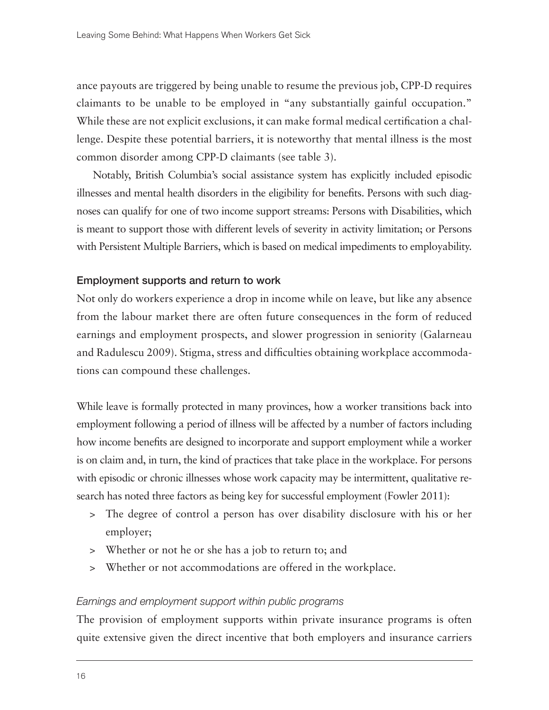ance payouts are triggered by being unable to resume the previous job, CPP-D requires claimants to be unable to be employed in "any substantially gainful occupation." While these are not explicit exclusions, it can make formal medical certification a challenge. Despite these potential barriers, it is noteworthy that mental illness is the most common disorder among CPP-D claimants (see table 3).

Notably, British Columbia's social assistance system has explicitly included episodic illnesses and mental health disorders in the eligibility for benefits. Persons with such diagnoses can qualify for one of two income support streams: Persons with Disabilities, which is meant to support those with different levels of severity in activity limitation; or Persons with Persistent Multiple Barriers, which is based on medical impediments to employability.

## Employment supports and return to work

Not only do workers experience a drop in income while on leave, but like any absence from the labour market there are often future consequences in the form of reduced earnings and employment prospects, and slower progression in seniority (Galarneau and Radulescu 2009). Stigma, stress and difficulties obtaining workplace accommodations can compound these challenges.

While leave is formally protected in many provinces, how a worker transitions back into employment following a period of illness will be affected by a number of factors including how income benefits are designed to incorporate and support employment while a worker is on claim and, in turn, the kind of practices that take place in the workplace. For persons with episodic or chronic illnesses whose work capacity may be intermittent, qualitative research has noted three factors as being key for successful employment (Fowler 2011):

- > The degree of control a person has over disability disclosure with his or her employer;
- > Whether or not he or she has a job to return to; and
- > Whether or not accommodations are offered in the workplace.

#### *Earnings and employment support within public programs*

The provision of employment supports within private insurance programs is often quite extensive given the direct incentive that both employers and insurance carriers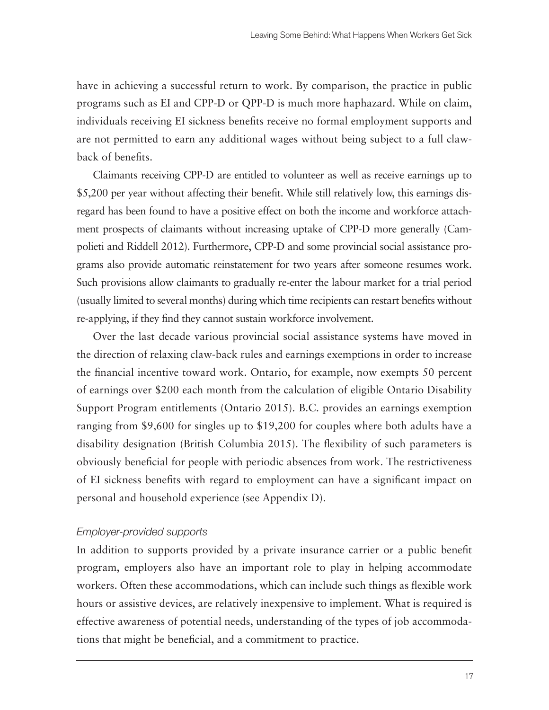have in achieving a successful return to work. By comparison, the practice in public programs such as EI and CPP-D or QPP-D is much more haphazard. While on claim, individuals receiving EI sickness benefits receive no formal employment supports and are not permitted to earn any additional wages without being subject to a full clawback of benefits.

Claimants receiving CPP-D are entitled to volunteer as well as receive earnings up to \$5,200 per year without affecting their benefit. While still relatively low, this earnings disregard has been found to have a positive effect on both the income and workforce attachment prospects of claimants without increasing uptake of CPP-D more generally (Campolieti and Riddell 2012). Furthermore, CPP-D and some provincial social assistance programs also provide automatic reinstatement for two years after someone resumes work. Such provisions allow claimants to gradually re-enter the labour market for a trial period (usually limited to several months) during which time recipients can restart benefits without re-applying, if they find they cannot sustain workforce involvement.

Over the last decade various provincial social assistance systems have moved in the direction of relaxing claw-back rules and earnings exemptions in order to increase the financial incentive toward work. Ontario, for example, now exempts 50 percent of earnings over \$200 each month from the calculation of eligible Ontario Disability Support Program entitlements (Ontario 2015). B.C. provides an earnings exemption ranging from \$9,600 for singles up to \$19,200 for couples where both adults have a disability designation (British Columbia 2015). The flexibility of such parameters is obviously beneficial for people with periodic absences from work. The restrictiveness of EI sickness benefits with regard to employment can have a significant impact on personal and household experience (see Appendix D).

## *Employer-provided supports*

In addition to supports provided by a private insurance carrier or a public benefit program, employers also have an important role to play in helping accommodate workers. Often these accommodations, which can include such things as flexible work hours or assistive devices, are relatively inexpensive to implement. What is required is effective awareness of potential needs, understanding of the types of job accommodations that might be beneficial, and a commitment to practice.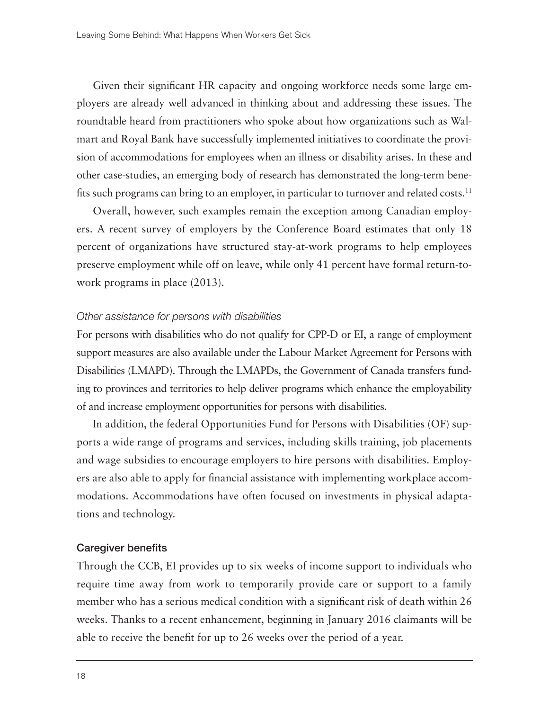Given their significant HR capacity and ongoing workforce needs some large employers are already well advanced in thinking about and addressing these issues. The roundtable heard from practitioners who spoke about how organizations such as Walmart and Royal Bank have successfully implemented initiatives to coordinate the provision of accommodations for employees when an illness or disability arises. In these and other case-studies, an emerging body of research has demonstrated the long-term benefits such programs can bring to an employer, in particular to turnover and related costs.<sup>11</sup>

Overall, however, such examples remain the exception among Canadian employers. A recent survey of employers by the Conference Board estimates that only 18 percent of organizations have structured stay-at-work programs to help employees preserve employment while off on leave, while only 41 percent have formal return-towork programs in place (2013).

#### *Other assistance for persons with disabilities*

For persons with disabilities who do not qualify for CPP-D or EI, a range of employment support measures are also available under the Labour Market Agreement for Persons with Disabilities (LMAPD). Through the LMAPDs, the Government of Canada transfers funding to provinces and territories to help deliver programs which enhance the employability of and increase employment opportunities for persons with disabilities.

In addition, the federal Opportunities Fund for Persons with Disabilities (OF) supports a wide range of programs and services, including skills training, job placements and wage subsidies to encourage employers to hire persons with disabilities. Employers are also able to apply for financial assistance with implementing workplace accommodations. Accommodations have often focused on investments in physical adaptations and technology.

#### Caregiver benefits

Through the CCB, EI provides up to six weeks of income support to individuals who require time away from work to temporarily provide care or support to a family member who has a serious medical condition with a significant risk of death within 26 weeks. Thanks to a recent enhancement, beginning in January 2016 claimants will be able to receive the benefit for up to 26 weeks over the period of a year.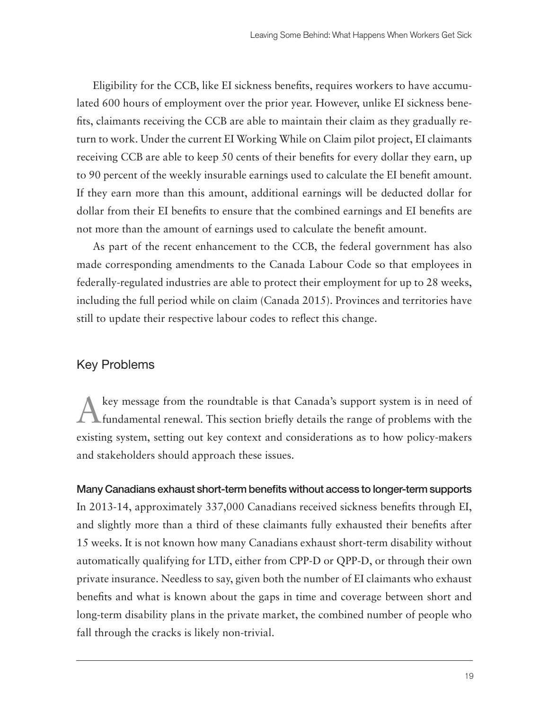Eligibility for the CCB, like EI sickness benefits, requires workers to have accumulated 600 hours of employment over the prior year. However, unlike EI sickness benefits, claimants receiving the CCB are able to maintain their claim as they gradually return to work. Under the current EI Working While on Claim pilot project, EI claimants receiving CCB are able to keep 50 cents of their benefits for every dollar they earn, up to 90 percent of the weekly insurable earnings used to calculate the EI benefit amount. If they earn more than this amount, additional earnings will be deducted dollar for dollar from their EI benefits to ensure that the combined earnings and EI benefits are not more than the amount of earnings used to calculate the benefit amount.

As part of the recent enhancement to the CCB, the federal government has also made corresponding amendments to the Canada Labour Code so that employees in federally-regulated industries are able to protect their employment for up to 28 weeks, including the full period while on claim (Canada 2015). Provinces and territories have still to update their respective labour codes to reflect this change.

## Key Problems

Akey message from the roundtable is that Canada's support system is in need of fundamental renewal. This section briefly details the range of problems with the existing system, setting out key context and considerations as to how policy-makers and stakeholders should approach these issues.

## Many Canadians exhaust short-term benefits without access to longer-term supports

In 2013-14, approximately 337,000 Canadians received sickness benefits through EI, and slightly more than a third of these claimants fully exhausted their benefits after 15 weeks. It is not known how many Canadians exhaust short-term disability without automatically qualifying for LTD, either from CPP-D or QPP-D, or through their own private insurance. Needless to say, given both the number of EI claimants who exhaust benefits and what is known about the gaps in time and coverage between short and long-term disability plans in the private market, the combined number of people who fall through the cracks is likely non-trivial.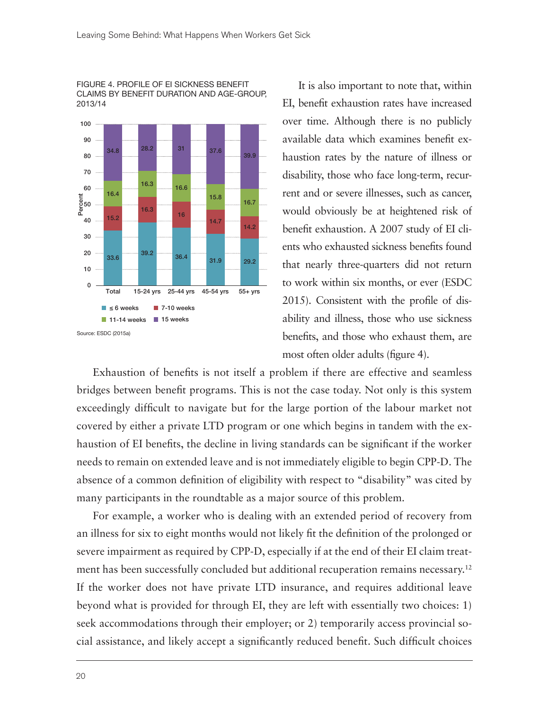FIGURE 4. PROFILE OF EI SICKNESS BENEFIT CLAIMS BY BENEFIT DURATION AND AGE-GROUP, 2013/14



It is also important to note that, within EI, benefit exhaustion rates have increased over time. Although there is no publicly available data which examines benefit exhaustion rates by the nature of illness or disability, those who face long-term, recurrent and or severe illnesses, such as cancer, would obviously be at heightened risk of benefit exhaustion. A 2007 study of EI clients who exhausted sickness benefits found that nearly three-quarters did not return to work within six months, or ever (ESDC 2015). Consistent with the profile of disability and illness, those who use sickness benefits, and those who exhaust them, are most often older adults (figure 4).

Exhaustion of benefits is not itself a problem if there are effective and seamless bridges between benefit programs. This is not the case today. Not only is this system exceedingly difficult to navigate but for the large portion of the labour market not covered by either a private LTD program or one which begins in tandem with the exhaustion of EI benefits, the decline in living standards can be significant if the worker needs to remain on extended leave and is not immediately eligible to begin CPP-D. The absence of a common definition of eligibility with respect to "disability" was cited by many participants in the roundtable as a major source of this problem.

For example, a worker who is dealing with an extended period of recovery from an illness for six to eight months would not likely fit the definition of the prolonged or severe impairment as required by CPP-D, especially if at the end of their EI claim treatment has been successfully concluded but additional recuperation remains necessary.<sup>12</sup> If the worker does not have private LTD insurance, and requires additional leave beyond what is provided for through EI, they are left with essentially two choices: 1) seek accommodations through their employer; or 2) temporarily access provincial social assistance, and likely accept a significantly reduced benefit. Such difficult choices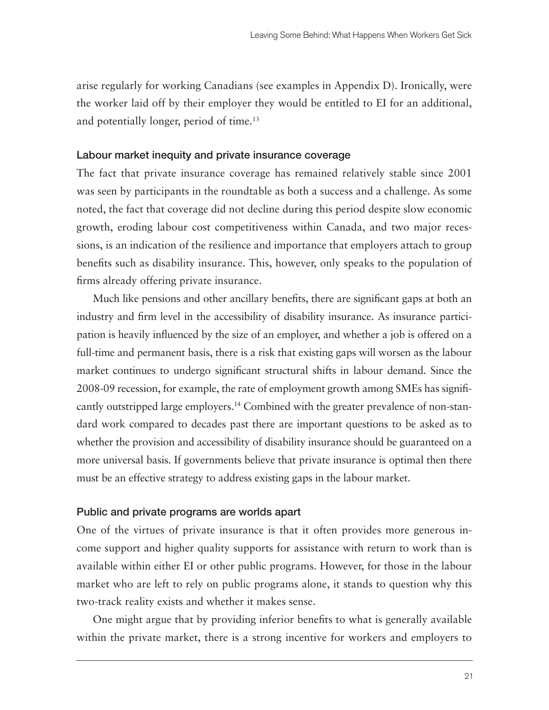arise regularly for working Canadians (see examples in Appendix D). Ironically, were the worker laid off by their employer they would be entitled to EI for an additional, and potentially longer, period of time.13

#### Labour market inequity and private insurance coverage

The fact that private insurance coverage has remained relatively stable since 2001 was seen by participants in the roundtable as both a success and a challenge. As some noted, the fact that coverage did not decline during this period despite slow economic growth, eroding labour cost competitiveness within Canada, and two major recessions, is an indication of the resilience and importance that employers attach to group benefits such as disability insurance. This, however, only speaks to the population of firms already offering private insurance.

Much like pensions and other ancillary benefits, there are significant gaps at both an industry and firm level in the accessibility of disability insurance. As insurance participation is heavily influenced by the size of an employer, and whether a job is offered on a full-time and permanent basis, there is a risk that existing gaps will worsen as the labour market continues to undergo significant structural shifts in labour demand. Since the 2008-09 recession, for example, the rate of employment growth among SMEs has significantly outstripped large employers.<sup>14</sup> Combined with the greater prevalence of non-standard work compared to decades past there are important questions to be asked as to whether the provision and accessibility of disability insurance should be guaranteed on a more universal basis. If governments believe that private insurance is optimal then there must be an effective strategy to address existing gaps in the labour market.

#### Public and private programs are worlds apart

One of the virtues of private insurance is that it often provides more generous income support and higher quality supports for assistance with return to work than is available within either EI or other public programs. However, for those in the labour market who are left to rely on public programs alone, it stands to question why this two-track reality exists and whether it makes sense.

One might argue that by providing inferior benefits to what is generally available within the private market, there is a strong incentive for workers and employers to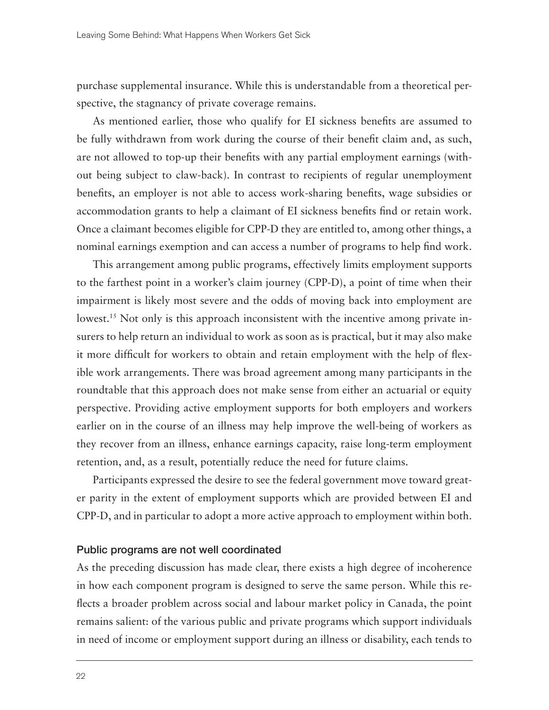purchase supplemental insurance. While this is understandable from a theoretical perspective, the stagnancy of private coverage remains.

As mentioned earlier, those who qualify for EI sickness benefits are assumed to be fully withdrawn from work during the course of their benefit claim and, as such, are not allowed to top-up their benefits with any partial employment earnings (without being subject to claw-back). In contrast to recipients of regular unemployment benefits, an employer is not able to access work-sharing benefits, wage subsidies or accommodation grants to help a claimant of EI sickness benefits find or retain work. Once a claimant becomes eligible for CPP-D they are entitled to, among other things, a nominal earnings exemption and can access a number of programs to help find work.

This arrangement among public programs, effectively limits employment supports to the farthest point in a worker's claim journey (CPP-D), a point of time when their impairment is likely most severe and the odds of moving back into employment are lowest.<sup>15</sup> Not only is this approach inconsistent with the incentive among private insurers to help return an individual to work as soon as is practical, but it may also make it more difficult for workers to obtain and retain employment with the help of flexible work arrangements. There was broad agreement among many participants in the roundtable that this approach does not make sense from either an actuarial or equity perspective. Providing active employment supports for both employers and workers earlier on in the course of an illness may help improve the well-being of workers as they recover from an illness, enhance earnings capacity, raise long-term employment retention, and, as a result, potentially reduce the need for future claims.

Participants expressed the desire to see the federal government move toward greater parity in the extent of employment supports which are provided between EI and CPP-D, and in particular to adopt a more active approach to employment within both.

#### Public programs are not well coordinated

As the preceding discussion has made clear, there exists a high degree of incoherence in how each component program is designed to serve the same person. While this reflects a broader problem across social and labour market policy in Canada, the point remains salient: of the various public and private programs which support individuals in need of income or employment support during an illness or disability, each tends to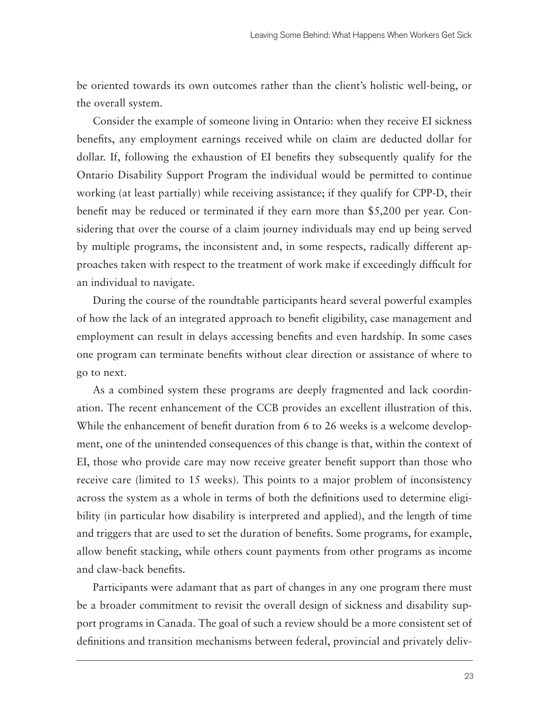be oriented towards its own outcomes rather than the client's holistic well-being, or the overall system.

Consider the example of someone living in Ontario: when they receive EI sickness benefits, any employment earnings received while on claim are deducted dollar for dollar. If, following the exhaustion of EI benefits they subsequently qualify for the Ontario Disability Support Program the individual would be permitted to continue working (at least partially) while receiving assistance; if they qualify for CPP-D, their benefit may be reduced or terminated if they earn more than \$5,200 per year. Considering that over the course of a claim journey individuals may end up being served by multiple programs, the inconsistent and, in some respects, radically different approaches taken with respect to the treatment of work make if exceedingly difficult for an individual to navigate.

During the course of the roundtable participants heard several powerful examples of how the lack of an integrated approach to benefit eligibility, case management and employment can result in delays accessing benefits and even hardship. In some cases one program can terminate benefits without clear direction or assistance of where to go to next.

As a combined system these programs are deeply fragmented and lack coordination. The recent enhancement of the CCB provides an excellent illustration of this. While the enhancement of benefit duration from 6 to 26 weeks is a welcome development, one of the unintended consequences of this change is that, within the context of EI, those who provide care may now receive greater benefit support than those who receive care (limited to 15 weeks). This points to a major problem of inconsistency across the system as a whole in terms of both the definitions used to determine eligibility (in particular how disability is interpreted and applied), and the length of time and triggers that are used to set the duration of benefits. Some programs, for example, allow benefit stacking, while others count payments from other programs as income and claw-back benefits.

Participants were adamant that as part of changes in any one program there must be a broader commitment to revisit the overall design of sickness and disability support programs in Canada. The goal of such a review should be a more consistent set of definitions and transition mechanisms between federal, provincial and privately deliv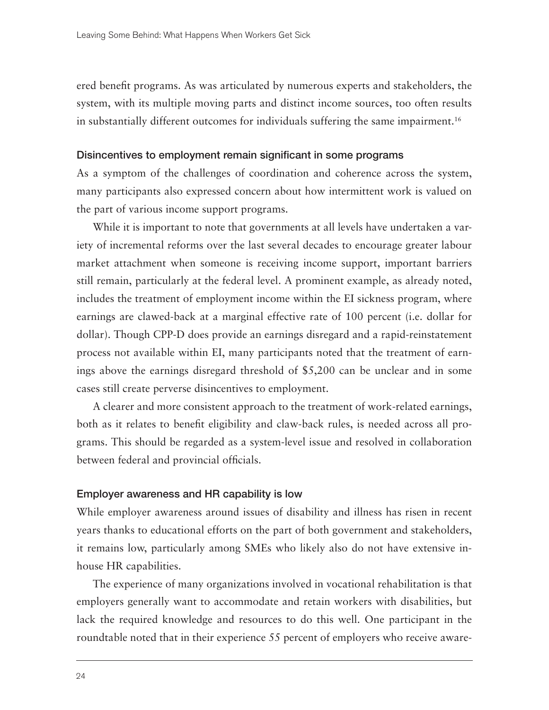ered benefit programs. As was articulated by numerous experts and stakeholders, the system, with its multiple moving parts and distinct income sources, too often results in substantially different outcomes for individuals suffering the same impairment.16

#### Disincentives to employment remain significant in some programs

As a symptom of the challenges of coordination and coherence across the system, many participants also expressed concern about how intermittent work is valued on the part of various income support programs.

While it is important to note that governments at all levels have undertaken a variety of incremental reforms over the last several decades to encourage greater labour market attachment when someone is receiving income support, important barriers still remain, particularly at the federal level. A prominent example, as already noted, includes the treatment of employment income within the EI sickness program, where earnings are clawed-back at a marginal effective rate of 100 percent (i.e. dollar for dollar). Though CPP-D does provide an earnings disregard and a rapid-reinstatement process not available within EI, many participants noted that the treatment of earnings above the earnings disregard threshold of \$5,200 can be unclear and in some cases still create perverse disincentives to employment.

A clearer and more consistent approach to the treatment of work-related earnings, both as it relates to benefit eligibility and claw-back rules, is needed across all programs. This should be regarded as a system-level issue and resolved in collaboration between federal and provincial officials.

#### Employer awareness and HR capability is low

While employer awareness around issues of disability and illness has risen in recent years thanks to educational efforts on the part of both government and stakeholders, it remains low, particularly among SMEs who likely also do not have extensive inhouse HR capabilities.

The experience of many organizations involved in vocational rehabilitation is that employers generally want to accommodate and retain workers with disabilities, but lack the required knowledge and resources to do this well. One participant in the roundtable noted that in their experience 55 percent of employers who receive aware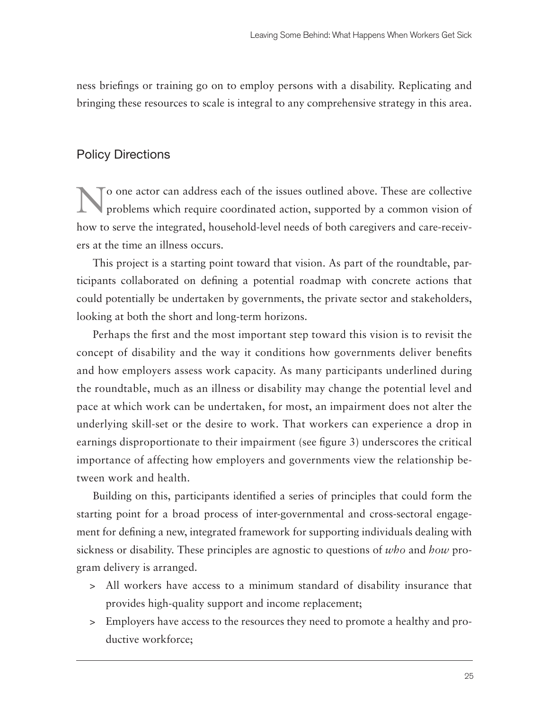ness briefings or training go on to employ persons with a disability. Replicating and bringing these resources to scale is integral to any comprehensive strategy in this area.

# Policy Directions

o one actor can address each of the issues outlined above. These are collective problems which require coordinated action, supported by a common vision of how to serve the integrated, household-level needs of both caregivers and care-receivers at the time an illness occurs.

This project is a starting point toward that vision. As part of the roundtable, participants collaborated on defining a potential roadmap with concrete actions that could potentially be undertaken by governments, the private sector and stakeholders, looking at both the short and long-term horizons.

Perhaps the first and the most important step toward this vision is to revisit the concept of disability and the way it conditions how governments deliver benefits and how employers assess work capacity. As many participants underlined during the roundtable, much as an illness or disability may change the potential level and pace at which work can be undertaken, for most, an impairment does not alter the underlying skill-set or the desire to work. That workers can experience a drop in earnings disproportionate to their impairment (see figure 3) underscores the critical importance of affecting how employers and governments view the relationship between work and health.

Building on this, participants identified a series of principles that could form the starting point for a broad process of inter-governmental and cross-sectoral engagement for defining a new, integrated framework for supporting individuals dealing with sickness or disability. These principles are agnostic to questions of *who* and *how* program delivery is arranged.

- > All workers have access to a minimum standard of disability insurance that provides high-quality support and income replacement;
- > Employers have access to the resources they need to promote a healthy and productive workforce;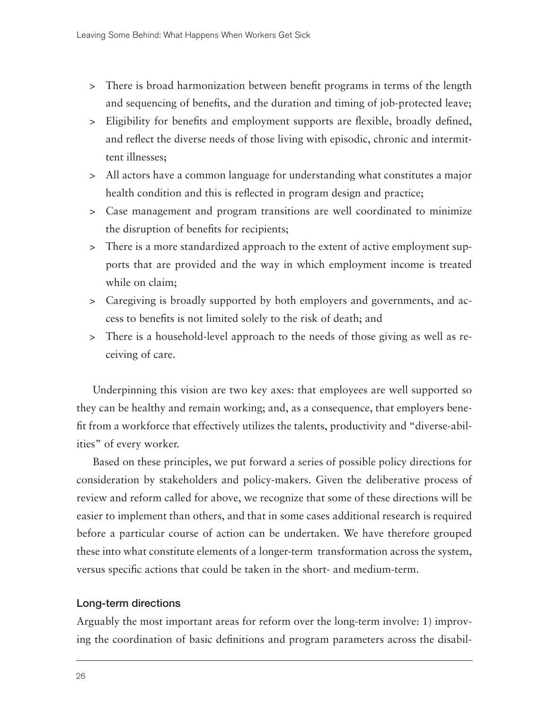- > There is broad harmonization between benefit programs in terms of the length and sequencing of benefits, and the duration and timing of job-protected leave;
- > Eligibility for benefits and employment supports are flexible, broadly defined, and reflect the diverse needs of those living with episodic, chronic and intermittent illnesses;
- > All actors have a common language for understanding what constitutes a major health condition and this is reflected in program design and practice;
- > Case management and program transitions are well coordinated to minimize the disruption of benefits for recipients;
- > There is a more standardized approach to the extent of active employment supports that are provided and the way in which employment income is treated while on claim;
- > Caregiving is broadly supported by both employers and governments, and access to benefits is not limited solely to the risk of death; and
- > There is a household-level approach to the needs of those giving as well as receiving of care.

Underpinning this vision are two key axes: that employees are well supported so they can be healthy and remain working; and, as a consequence, that employers benefit from a workforce that effectively utilizes the talents, productivity and "diverse-abilities" of every worker.

Based on these principles, we put forward a series of possible policy directions for consideration by stakeholders and policy-makers. Given the deliberative process of review and reform called for above, we recognize that some of these directions will be easier to implement than others, and that in some cases additional research is required before a particular course of action can be undertaken. We have therefore grouped these into what constitute elements of a longer-term transformation across the system, versus specific actions that could be taken in the short- and medium-term.

## Long-term directions

Arguably the most important areas for reform over the long-term involve: 1) improving the coordination of basic definitions and program parameters across the disabil-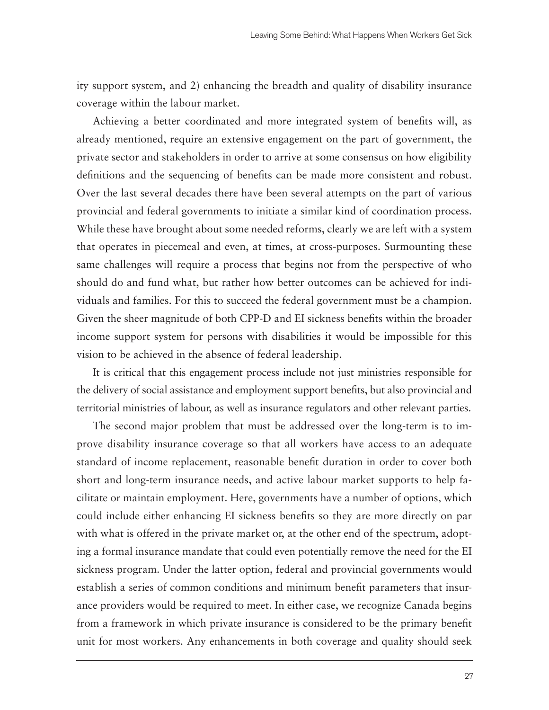ity support system, and 2) enhancing the breadth and quality of disability insurance coverage within the labour market.

Achieving a better coordinated and more integrated system of benefits will, as already mentioned, require an extensive engagement on the part of government, the private sector and stakeholders in order to arrive at some consensus on how eligibility definitions and the sequencing of benefits can be made more consistent and robust. Over the last several decades there have been several attempts on the part of various provincial and federal governments to initiate a similar kind of coordination process. While these have brought about some needed reforms, clearly we are left with a system that operates in piecemeal and even, at times, at cross-purposes. Surmounting these same challenges will require a process that begins not from the perspective of who should do and fund what, but rather how better outcomes can be achieved for individuals and families. For this to succeed the federal government must be a champion. Given the sheer magnitude of both CPP-D and EI sickness benefits within the broader income support system for persons with disabilities it would be impossible for this vision to be achieved in the absence of federal leadership.

It is critical that this engagement process include not just ministries responsible for the delivery of social assistance and employment support benefits, but also provincial and territorial ministries of labour, as well as insurance regulators and other relevant parties.

The second major problem that must be addressed over the long-term is to improve disability insurance coverage so that all workers have access to an adequate standard of income replacement, reasonable benefit duration in order to cover both short and long-term insurance needs, and active labour market supports to help facilitate or maintain employment. Here, governments have a number of options, which could include either enhancing EI sickness benefits so they are more directly on par with what is offered in the private market or, at the other end of the spectrum, adopting a formal insurance mandate that could even potentially remove the need for the EI sickness program. Under the latter option, federal and provincial governments would establish a series of common conditions and minimum benefit parameters that insurance providers would be required to meet. In either case, we recognize Canada begins from a framework in which private insurance is considered to be the primary benefit unit for most workers. Any enhancements in both coverage and quality should seek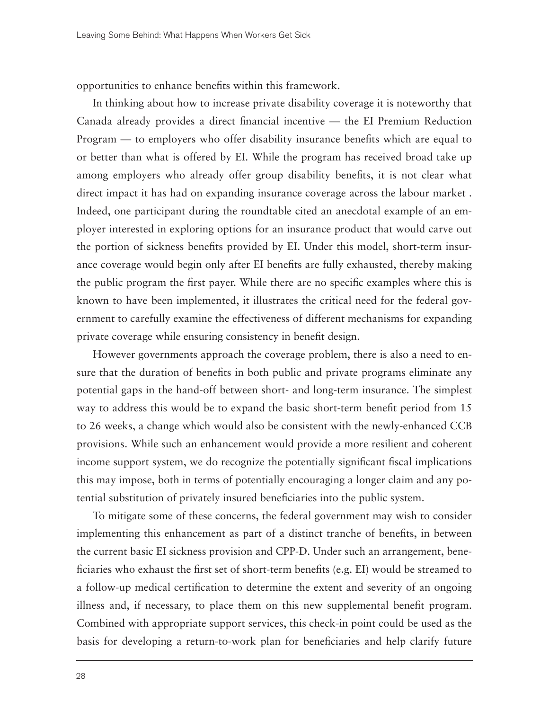opportunities to enhance benefits within this framework.

In thinking about how to increase private disability coverage it is noteworthy that Canada already provides a direct financial incentive — the EI Premium Reduction Program — to employers who offer disability insurance benefits which are equal to or better than what is offered by EI. While the program has received broad take up among employers who already offer group disability benefits, it is not clear what direct impact it has had on expanding insurance coverage across the labour market . Indeed, one participant during the roundtable cited an anecdotal example of an employer interested in exploring options for an insurance product that would carve out the portion of sickness benefits provided by EI. Under this model, short-term insurance coverage would begin only after EI benefits are fully exhausted, thereby making the public program the first payer. While there are no specific examples where this is known to have been implemented, it illustrates the critical need for the federal government to carefully examine the effectiveness of different mechanisms for expanding private coverage while ensuring consistency in benefit design.

However governments approach the coverage problem, there is also a need to ensure that the duration of benefits in both public and private programs eliminate any potential gaps in the hand-off between short- and long-term insurance. The simplest way to address this would be to expand the basic short-term benefit period from 15 to 26 weeks, a change which would also be consistent with the newly-enhanced CCB provisions. While such an enhancement would provide a more resilient and coherent income support system, we do recognize the potentially significant fiscal implications this may impose, both in terms of potentially encouraging a longer claim and any potential substitution of privately insured beneficiaries into the public system.

To mitigate some of these concerns, the federal government may wish to consider implementing this enhancement as part of a distinct tranche of benefits, in between the current basic EI sickness provision and CPP-D. Under such an arrangement, beneficiaries who exhaust the first set of short-term benefits (e.g. EI) would be streamed to a follow-up medical certification to determine the extent and severity of an ongoing illness and, if necessary, to place them on this new supplemental benefit program. Combined with appropriate support services, this check-in point could be used as the basis for developing a return-to-work plan for beneficiaries and help clarify future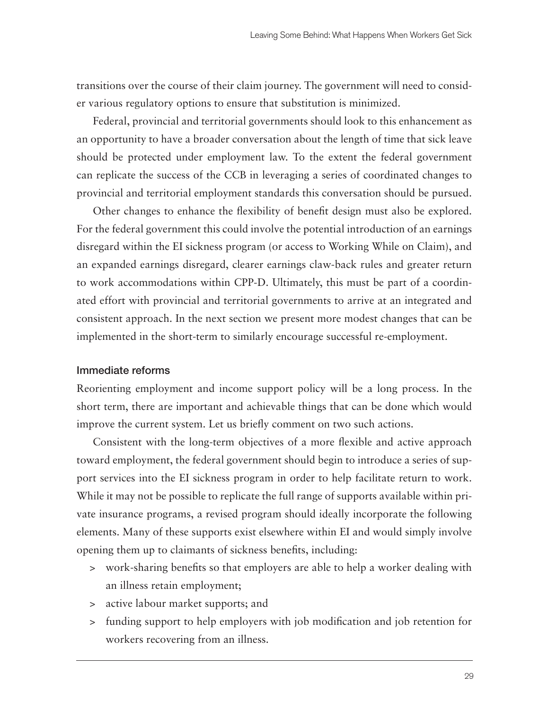transitions over the course of their claim journey. The government will need to consider various regulatory options to ensure that substitution is minimized.

Federal, provincial and territorial governments should look to this enhancement as an opportunity to have a broader conversation about the length of time that sick leave should be protected under employment law. To the extent the federal government can replicate the success of the CCB in leveraging a series of coordinated changes to provincial and territorial employment standards this conversation should be pursued.

Other changes to enhance the flexibility of benefit design must also be explored. For the federal government this could involve the potential introduction of an earnings disregard within the EI sickness program (or access to Working While on Claim), and an expanded earnings disregard, clearer earnings claw-back rules and greater return to work accommodations within CPP-D. Ultimately, this must be part of a coordinated effort with provincial and territorial governments to arrive at an integrated and consistent approach. In the next section we present more modest changes that can be implemented in the short-term to similarly encourage successful re-employment.

#### Immediate reforms

Reorienting employment and income support policy will be a long process. In the short term, there are important and achievable things that can be done which would improve the current system. Let us briefly comment on two such actions.

Consistent with the long-term objectives of a more flexible and active approach toward employment, the federal government should begin to introduce a series of support services into the EI sickness program in order to help facilitate return to work. While it may not be possible to replicate the full range of supports available within private insurance programs, a revised program should ideally incorporate the following elements. Many of these supports exist elsewhere within EI and would simply involve opening them up to claimants of sickness benefits, including:

- > work-sharing benefits so that employers are able to help a worker dealing with an illness retain employment;
- > active labour market supports; and
- > funding support to help employers with job modification and job retention for workers recovering from an illness.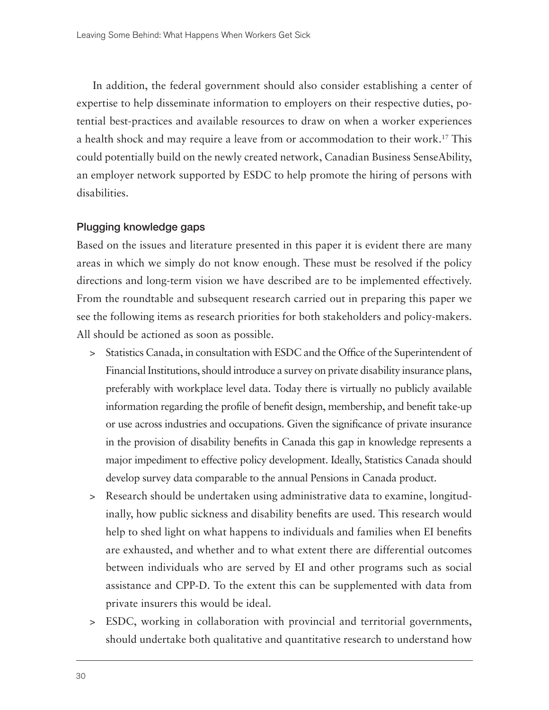In addition, the federal government should also consider establishing a center of expertise to help disseminate information to employers on their respective duties, potential best-practices and available resources to draw on when a worker experiences a health shock and may require a leave from or accommodation to their work.17 This could potentially build on the newly created network, Canadian Business SenseAbility, an employer network supported by ESDC to help promote the hiring of persons with disabilities.

#### Plugging knowledge gaps

Based on the issues and literature presented in this paper it is evident there are many areas in which we simply do not know enough. These must be resolved if the policy directions and long-term vision we have described are to be implemented effectively. From the roundtable and subsequent research carried out in preparing this paper we see the following items as research priorities for both stakeholders and policy-makers. All should be actioned as soon as possible.

- > Statistics Canada, in consultation with ESDC and the Office of the Superintendent of Financial Institutions, should introduce a survey on private disability insurance plans, preferably with workplace level data. Today there is virtually no publicly available information regarding the profile of benefit design, membership, and benefit take-up or use across industries and occupations. Given the significance of private insurance in the provision of disability benefits in Canada this gap in knowledge represents a major impediment to effective policy development. Ideally, Statistics Canada should develop survey data comparable to the annual Pensions in Canada product.
- > Research should be undertaken using administrative data to examine, longitudinally, how public sickness and disability benefits are used. This research would help to shed light on what happens to individuals and families when EI benefits are exhausted, and whether and to what extent there are differential outcomes between individuals who are served by EI and other programs such as social assistance and CPP-D. To the extent this can be supplemented with data from private insurers this would be ideal.
- > ESDC, working in collaboration with provincial and territorial governments, should undertake both qualitative and quantitative research to understand how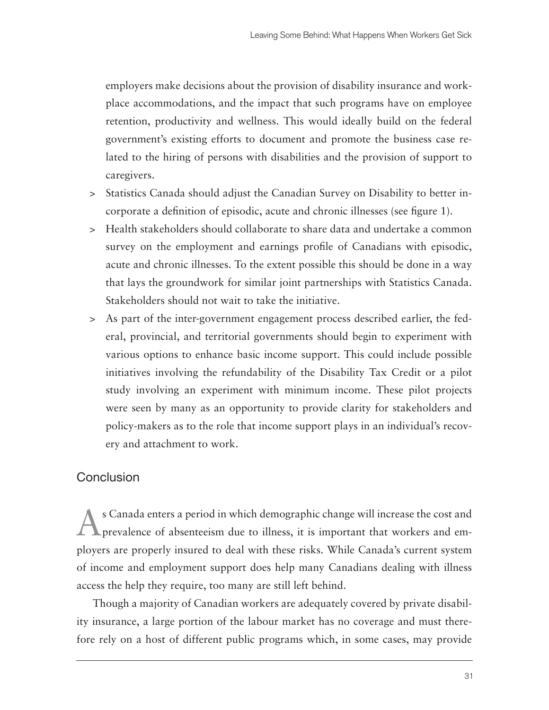employers make decisions about the provision of disability insurance and workplace accommodations, and the impact that such programs have on employee retention, productivity and wellness. This would ideally build on the federal government's existing efforts to document and promote the business case related to the hiring of persons with disabilities and the provision of support to caregivers.

- > Statistics Canada should adjust the Canadian Survey on Disability to better incorporate a definition of episodic, acute and chronic illnesses (see figure 1).
- > Health stakeholders should collaborate to share data and undertake a common survey on the employment and earnings profile of Canadians with episodic, acute and chronic illnesses. To the extent possible this should be done in a way that lays the groundwork for similar joint partnerships with Statistics Canada. Stakeholders should not wait to take the initiative.
- > As part of the inter-government engagement process described earlier, the federal, provincial, and territorial governments should begin to experiment with various options to enhance basic income support. This could include possible initiatives involving the refundability of the Disability Tax Credit or a pilot study involving an experiment with minimum income. These pilot projects were seen by many as an opportunity to provide clarity for stakeholders and policy-makers as to the role that income support plays in an individual's recovery and attachment to work.

# **Conclusion**

As Canada enters a period in which demographic change will increase the cost and prevalence of absenteeism due to illness, it is important that workers and employers are properly insured to deal with these risks. While Canada's current system of income and employment support does help many Canadians dealing with illness access the help they require, too many are still left behind.

Though a majority of Canadian workers are adequately covered by private disability insurance, a large portion of the labour market has no coverage and must therefore rely on a host of different public programs which, in some cases, may provide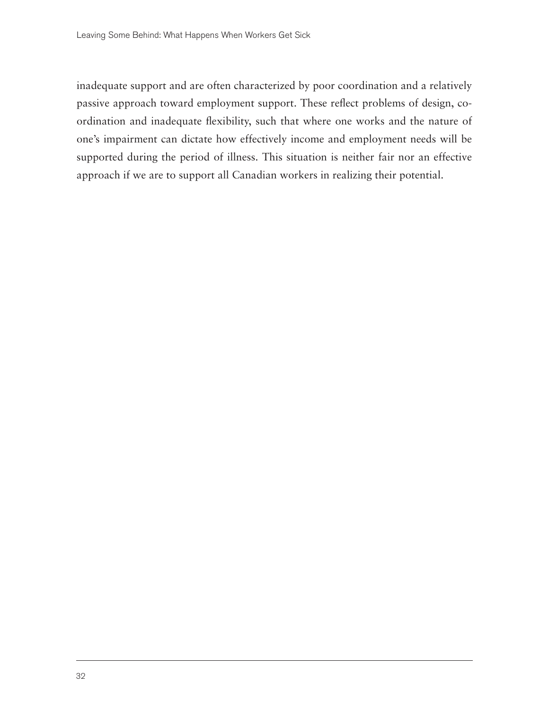inadequate support and are often characterized by poor coordination and a relatively passive approach toward employment support. These reflect problems of design, coordination and inadequate flexibility, such that where one works and the nature of one's impairment can dictate how effectively income and employment needs will be supported during the period of illness. This situation is neither fair nor an effective approach if we are to support all Canadian workers in realizing their potential.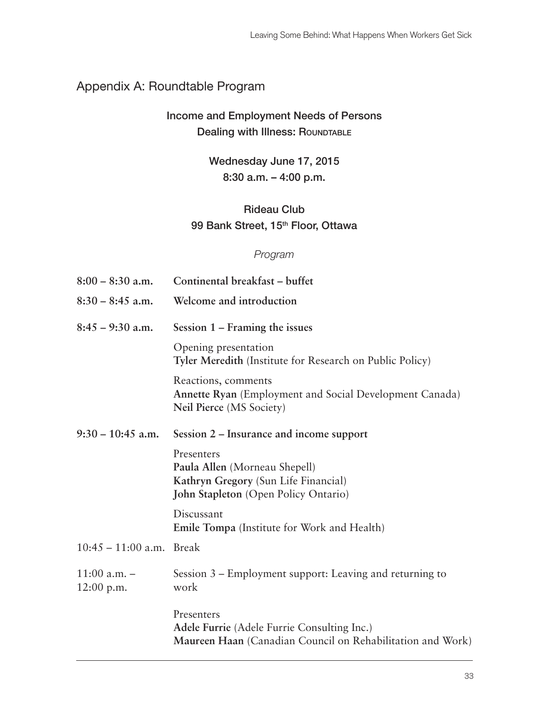# Appendix A: Roundtable Program

# Income and Employment Needs of Persons Dealing with Illness: ROUNDTABLE

Wednesday June 17, 2015 8:30 a.m. – 4:00 p.m.

# Rideau Club 99 Bank Street, 15<sup>th</sup> Floor, Ottawa

## *Program*

| $8:00 - 8:30$ a.m.               | Continental breakfast – buffet                                                                                                     |
|----------------------------------|------------------------------------------------------------------------------------------------------------------------------------|
| $8:30 - 8:45$ a.m.               | Welcome and introduction                                                                                                           |
| $8:45 - 9:30$ a.m.               | Session $1$ – Framing the issues                                                                                                   |
|                                  | Opening presentation<br>Tyler Meredith (Institute for Research on Public Policy)                                                   |
|                                  | Reactions, comments<br>Annette Ryan (Employment and Social Development Canada)<br>Neil Pierce (MS Society)                         |
| $9:30 - 10:45$ a.m.              | Session 2 – Insurance and income support                                                                                           |
|                                  | Presenters<br>Paula Allen (Morneau Shepell)<br>Kathryn Gregory (Sun Life Financial)<br><b>John Stapleton</b> (Open Policy Ontario) |
|                                  | Discussant<br>Emile Tompa (Institute for Work and Health)                                                                          |
| $10:45 - 11:00$ a.m. Break       |                                                                                                                                    |
| $11:00$ a.m. $-$<br>$12:00$ p.m. | Session 3 – Employment support: Leaving and returning to<br>work                                                                   |
|                                  | Presenters<br>Adele Furrie (Adele Furrie Consulting Inc.)<br>Maureen Haan (Canadian Council on Rehabilitation and Work)            |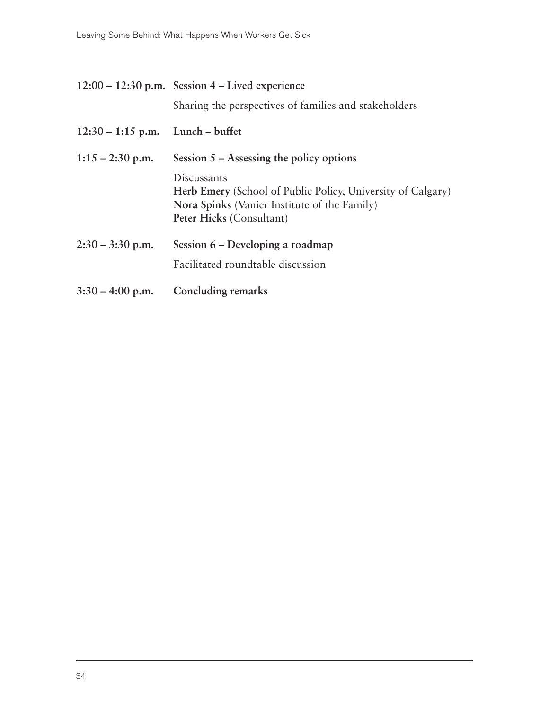|                                    | $12:00 - 12:30$ p.m. Session 4 – Lived experience                                                                                                             |
|------------------------------------|---------------------------------------------------------------------------------------------------------------------------------------------------------------|
|                                    | Sharing the perspectives of families and stakeholders                                                                                                         |
| $12:30 - 1:15$ p.m. Lunch – buffet |                                                                                                                                                               |
| $1:15 - 2:30$ p.m.                 | Session $5 -$ Assessing the policy options                                                                                                                    |
|                                    | Discussants<br><b>Herb Emery</b> (School of Public Policy, University of Calgary)<br>Nora Spinks (Vanier Institute of the Family)<br>Peter Hicks (Consultant) |
| $2:30 - 3:30$ p.m.                 | Session 6 – Developing a roadmap                                                                                                                              |
|                                    | Facilitated roundtable discussion                                                                                                                             |
| $3:30 - 4:00$ p.m.                 | Concluding remarks                                                                                                                                            |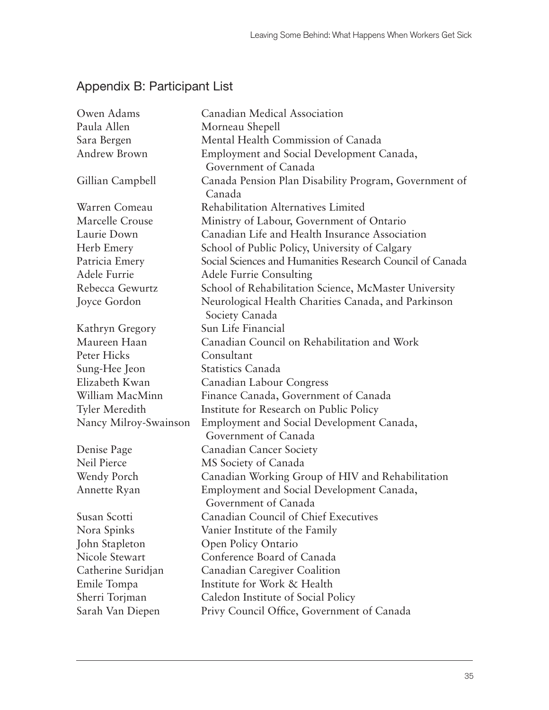# Appendix B: Participant List

| Owen Adams            | Canadian Medical Association                                      |
|-----------------------|-------------------------------------------------------------------|
| Paula Allen           | Morneau Shepell                                                   |
| Sara Bergen           | Mental Health Commission of Canada                                |
| Andrew Brown          | Employment and Social Development Canada,                         |
|                       | Government of Canada                                              |
| Gillian Campbell      | Canada Pension Plan Disability Program, Government of<br>Canada   |
| Warren Comeau         | Rehabilitation Alternatives Limited                               |
| Marcelle Crouse       | Ministry of Labour, Government of Ontario                         |
| Laurie Down           | Canadian Life and Health Insurance Association                    |
| Herb Emery            | School of Public Policy, University of Calgary                    |
| Patricia Emery        | Social Sciences and Humanities Research Council of Canada         |
| Adele Furrie          | <b>Adele Furrie Consulting</b>                                    |
| Rebecca Gewurtz       | School of Rehabilitation Science, McMaster University             |
| Joyce Gordon          | Neurological Health Charities Canada, and Parkinson               |
|                       | Society Canada                                                    |
| Kathryn Gregory       | Sun Life Financial                                                |
| Maureen Haan          | Canadian Council on Rehabilitation and Work                       |
| Peter Hicks           | Consultant                                                        |
| Sung-Hee Jeon         | <b>Statistics Canada</b>                                          |
| Elizabeth Kwan        | Canadian Labour Congress                                          |
| William MacMinn       | Finance Canada, Government of Canada                              |
| <b>Tyler Meredith</b> | Institute for Research on Public Policy                           |
| Nancy Milroy-Swainson | Employment and Social Development Canada,                         |
|                       | Government of Canada                                              |
| Denise Page           | <b>Canadian Cancer Society</b>                                    |
| Neil Pierce           | MS Society of Canada                                              |
| Wendy Porch           | Canadian Working Group of HIV and Rehabilitation                  |
| Annette Ryan          | Employment and Social Development Canada,<br>Government of Canada |
| Susan Scotti          | Canadian Council of Chief Executives                              |
| Nora Spinks           | Vanier Institute of the Family                                    |
| John Stapleton        | Open Policy Ontario                                               |
| Nicole Stewart        | Conference Board of Canada                                        |
| Catherine Suridjan    | Canadian Caregiver Coalition                                      |
| Emile Tompa           | Institute for Work & Health                                       |
| Sherri Torjman        | Caledon Institute of Social Policy                                |
| Sarah Van Diepen      | Privy Council Office, Government of Canada                        |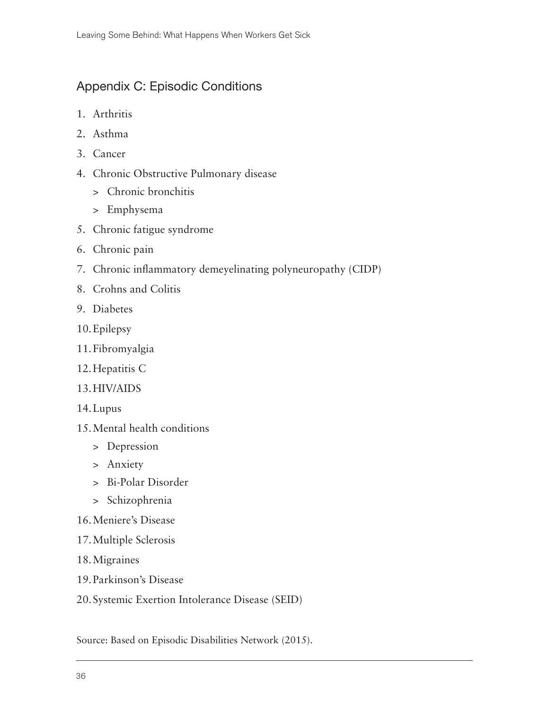# Appendix C: Episodic Conditions

- 1. Arthritis
- 2. Asthma
- 3. Cancer
- 4. Chronic Obstructive Pulmonary disease
	- > Chronic bronchitis
	- > Emphysema
- 5. Chronic fatigue syndrome
- 6. Chronic pain
- 7. Chronic inflammatory demeyelinating polyneuropathy (CIDP)
- 8. Crohns and Colitis
- 9. Diabetes
- 10.Epilepsy
- 11.Fibromyalgia
- 12.Hepatitis C
- 13.HIV/AIDS
- 14.Lupus
- 15.Mental health conditions
	- > Depression
	- > Anxiety
	- > Bi-Polar Disorder
	- > Schizophrenia
- 16.Meniere's Disease
- 17.Multiple Sclerosis
- 18.Migraines
- 19.Parkinson's Disease
- 20.Systemic Exertion Intolerance Disease (SEID)

Source: Based on Episodic Disabilities Network (2015).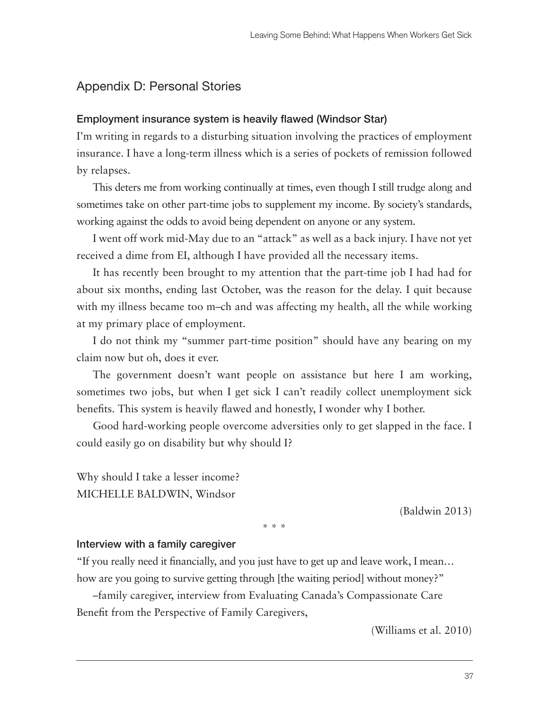## Appendix D: Personal Stories

## Employment insurance system is heavily flawed (Windsor Star)

I'm writing in regards to a disturbing situation involving the practices of employment insurance. I have a long-term illness which is a series of pockets of remission followed by relapses.

This deters me from working continually at times, even though I still trudge along and sometimes take on other part-time jobs to supplement my income. By society's standards, working against the odds to avoid being dependent on anyone or any system.

I went off work mid-May due to an "attack" as well as a back injury. I have not yet received a dime from EI, although I have provided all the necessary items.

It has recently been brought to my attention that the part-time job I had had for about six months, ending last October, was the reason for the delay. I quit because with my illness became too m–ch and was affecting my health, all the while working at my primary place of employment.

I do not think my "summer part-time position" should have any bearing on my claim now but oh, does it ever.

The government doesn't want people on assistance but here I am working, sometimes two jobs, but when I get sick I can't readily collect unemployment sick benefits. This system is heavily flawed and honestly, I wonder why I bother.

Good hard-working people overcome adversities only to get slapped in the face. I could easily go on disability but why should I?

Why should I take a lesser income? MICHELLE BALDWIN, Windsor

(Baldwin 2013)

\* \* \*

#### Interview with a family caregiver

"If you really need it financially, and you just have to get up and leave work, I mean… how are you going to survive getting through [the waiting period] without money?"

–family caregiver, interview from Evaluating Canada's Compassionate Care Benefit from the Perspective of Family Caregivers,

(Williams et al. 2010)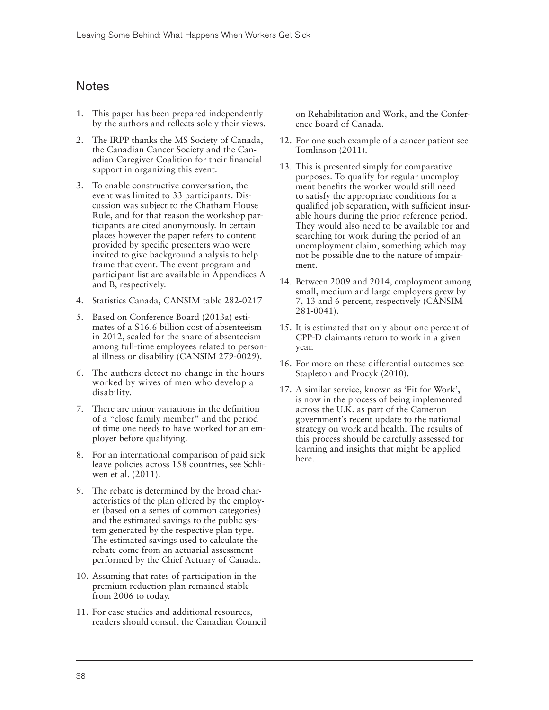# Notes

- 1. This paper has been prepared independently by the authors and reflects solely their views.
- 2. The IRPP thanks the MS Society of Canada, the Canadian Cancer Society and the Canadian Caregiver Coalition for their financial support in organizing this event.
- 3. To enable constructive conversation, the event was limited to 33 participants. Discussion was subject to the Chatham House Rule, and for that reason the workshop participants are cited anonymously. In certain places however the paper refers to content provided by specific presenters who were invited to give background analysis to help frame that event. The event program and participant list are available in Appendices A and B, respectively.
- 4. Statistics Canada, CANSIM table 282-0217
- 5. Based on Conference Board (2013a) estimates of a \$16.6 billion cost of absenteeism in 2012, scaled for the share of absenteeism among full-time employees related to personal illness or disability (CANSIM 279-0029).
- 6. The authors detect no change in the hours worked by wives of men who develop a disability.
- 7. There are minor variations in the definition of a "close family member" and the period of time one needs to have worked for an employer before qualifying.
- 8. For an international comparison of paid sick leave policies across 158 countries, see Schliwen et al. (2011).
- 9. The rebate is determined by the broad characteristics of the plan offered by the employer (based on a series of common categories) and the estimated savings to the public system generated by the respective plan type. The estimated savings used to calculate the rebate come from an actuarial assessment performed by the Chief Actuary of Canada.
- 10. Assuming that rates of participation in the premium reduction plan remained stable from 2006 to today.
- 11. For case studies and additional resources, readers should consult the Canadian Council

on Rehabilitation and Work, and the Conference Board of Canada.

- 12. For one such example of a cancer patient see Tomlinson (2011).
- 13. This is presented simply for comparative purposes. To qualify for regular unemployment benefits the worker would still need to satisfy the appropriate conditions for a qualified job separation, with sufficient insurable hours during the prior reference period. They would also need to be available for and searching for work during the period of an unemployment claim, something which may not be possible due to the nature of impairment.
- 14. Between 2009 and 2014, employment among small, medium and large employers grew by 7, 13 and 6 percent, respectively (CANSIM 281-0041).
- 15. It is estimated that only about one percent of CPP-D claimants return to work in a given year.
- 16. For more on these differential outcomes see Stapleton and Procyk (2010).
- 17. A similar service, known as 'Fit for Work', is now in the process of being implemented across the U.K. as part of the Cameron government's recent update to the national strategy on work and health. The results of this process should be carefully assessed for learning and insights that might be applied here.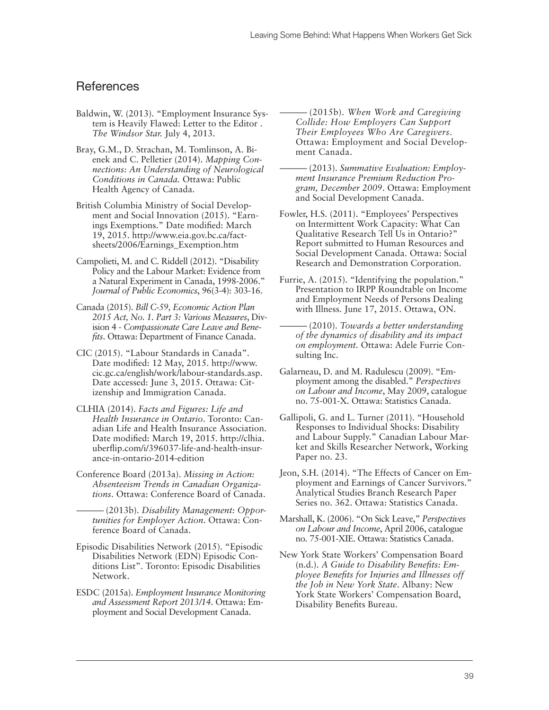## References

- Baldwin, W. (2013). "Employment Insurance System is Heavily Flawed: Letter to the Editor . *The Windsor Star.* July 4, 2013.
- Bray, G.M., D. Strachan, M. Tomlinson, A. Bienek and C. Pelletier (2014). *Mapping Connections: An Understanding of Neurological Conditions in Canada.* Ottawa: Public Health Agency of Canada.
- British Columbia Ministry of Social Development and Social Innovation (2015). "Earnings Exemptions." Date modified: March 19, 2015. http://www.eia.gov.bc.ca/factsheets/2006/Earnings\_Exemption.htm
- Campolieti, M. and C. Riddell (2012). "Disability Policy and the Labour Market: Evidence from a Natural Experiment in Canada, 1998-2006." *Journal of Public Economics*, 96(3-4): 303-16.
- Canada (2015). *Bill C-59, Economic Action Plan 2015 Act, No. 1. Part 3: Various Measures*, Division 4 - *Compassionate Care Leave and Benefits*. Ottawa: Department of Finance Canada.
- CIC (2015). "Labour Standards in Canada". Date modified: 12 May, 2015. http://www. cic.gc.ca/english/work/labour-standards.asp. Date accessed: June 3, 2015. Ottawa: Citizenship and Immigration Canada.
- CLHIA (2014). *Facts and Figures: Life and Health Insurance in Ontario*. Toronto: Canadian Life and Health Insurance Association. Date modified: March 19, 2015. http://clhia. uberflip.com/i/396037-life-and-health-insurance-in-ontario-2014-edition
- Conference Board (2013a). *Missing in Action: Absenteeism Trends in Canadian Organizations*. Ottawa: Conference Board of Canada.
	- $-$ (2013b). *Disability Management: Opportunities for Employer Action*. Ottawa: Conference Board of Canada.
- Episodic Disabilities Network (2015). "Episodic Disabilities Network (EDN) Episodic Conditions List". Toronto: Episodic Disabilities Network.
- ESDC (2015a). *Employment Insurance Monitoring and Assessment Report 2013/14*. Ottawa: Employment and Social Development Canada.

-(2015b). *When Work and Caregiving Collide: How Employers Can Support Their Employees Who Are Caregivers*. Ottawa: Employment and Social Development Canada.

- -(2013). *Summative Evaluation: Employment Insurance Premium Reduction Program, December 2009*. Ottawa: Employment and Social Development Canada.
- Fowler, H.S. (2011). "Employees' Perspectives on Intermittent Work Capacity: What Can Qualitative Research Tell Us in Ontario?" Report submitted to Human Resources and Social Development Canada. Ottawa: Social Research and Demonstration Corporation.
- Furrie, A. (2015). "Identifying the population." Presentation to IRPP Roundtable on Income and Employment Needs of Persons Dealing with Illness. June 17, 2015. Ottawa, ON.
- -(2010). *Towards a better understanding of the dynamics of disability and its impact on employment.* Ottawa: Adele Furrie Consulting Inc.
- Galarneau, D. and M. Radulescu (2009). "Employment among the disabled." *Perspectives on Labour and Income*, May 2009, catalogue no. 75-001-X. Ottawa: Statistics Canada.
- Gallipoli, G. and L. Turner (2011). "Household Responses to Individual Shocks: Disability and Labour Supply." Canadian Labour Market and Skills Researcher Network, Working Paper no. 23.
- Jeon, S.H. (2014). "The Effects of Cancer on Employment and Earnings of Cancer Survivors." Analytical Studies Branch Research Paper Series no. 362. Ottawa: Statistics Canada.
- Marshall, K. (2006). "On Sick Leave," *Perspectives on Labour and Income*, April 2006, catalogue no. 75-001-XIE. Ottawa: Statistics Canada.
- New York State Workers' Compensation Board (n.d.). *A Guide to Disability Benefits: Employee Benefits for Injuries and Illnesses off the Job in New York State*. Albany: New York State Workers' Compensation Board, Disability Benefits Bureau.